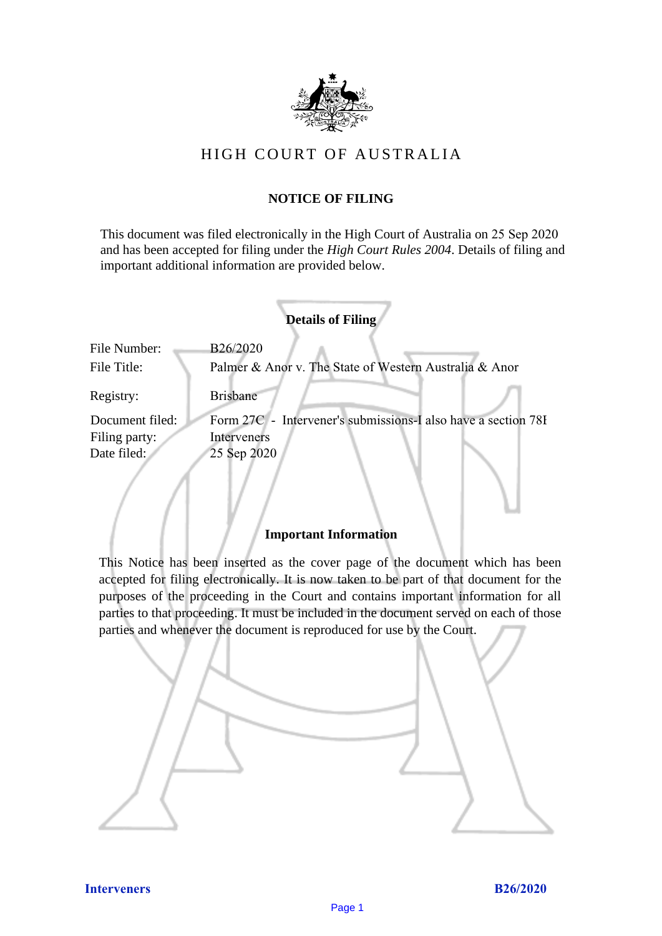

# HIGH COURT OF AU STRALIA HIGH COURT OF AUSTRALIA

## **NOTICE OF FILING** NOTICE OF FILING

This document was filed electronically in the High Court of Australia on 25 Sep 2020 This document was filed electronically in the High Court of Australia and has been accepted for filing under the *High Court Rules 2004*. Details of filing and important additional information are provided below. important additional information are provided below.

| <b>Details of Filing</b>    |                                                                    |
|-----------------------------|--------------------------------------------------------------------|
| File Number:<br>File Title: | B26/2020<br>Palmer & Anor v. The State of Western Australia & Anor |
| Registry:                   | <b>Brisbane</b>                                                    |
| Document filed:             | Form 27C - Intervener's submissions-I also have a section 78I      |
| Filing party:               | Interveners                                                        |
| Date filed:                 | 25 Sep 2020                                                        |
|                             |                                                                    |

## **Important Information** Important Information

This Notice has been inserted as the cover page of the document which has been accepted for filing electronically. It is now taken to be part of that document for the purposes of the proceeding in the Court and contains important information for all parties to that proceeding. It must be included in the document served on each of those parties and whenever the document is reproduced for use by the Court. parties and whenever the document is reproduced for use by the Court

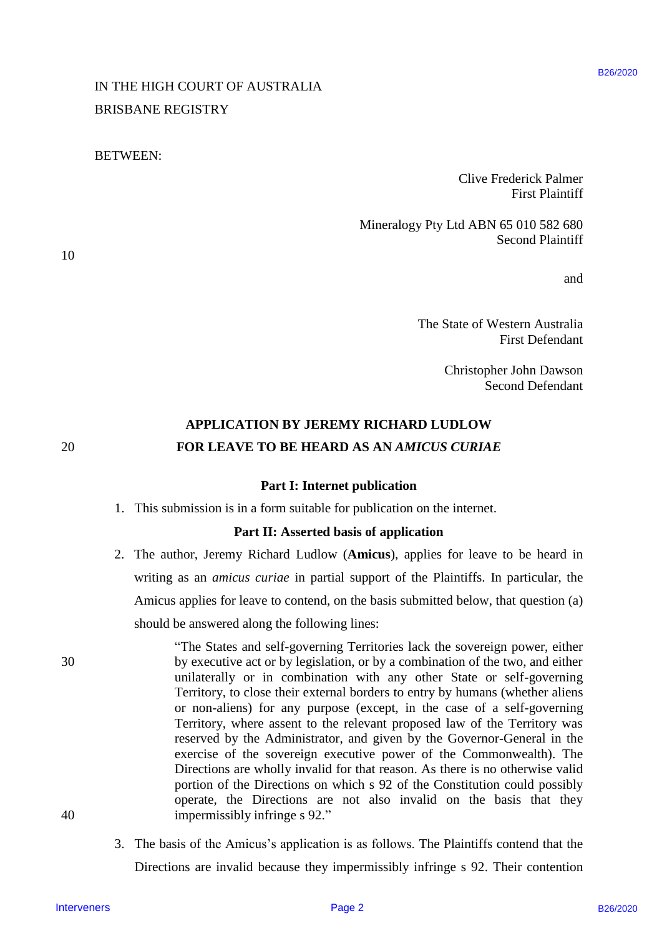# IN THE HIGH COURT OF AUSTRALIA IN THE HIGH COURT OF AUSTRALIA BRISBANE REGISTRY BRISBANE REGISTRY

### BETWEEN: BETWEEN:

Clive Frederick Palmer Clive Frederick Palmer First Plaintiff First Plaintiff

Mineralogy Pty Ltd ABN 65 010 582 680 Mineralogy Pty Ltd ABN 65 010 582 680 Second Plaintiff Second Plaintiff

and and

The State of Western Australia The State of Western Australia First Defendant First Defendant

> Christopher John Dawson Christopher John Dawson Second Defendant Second Defendant

# **APPLICATION BY JEREMY RICHARD LUDLOW** APPLICATION BY JEREMY RICHARD LUDLOW 20 **FOR LEAVE TO BE HEARD AS AN** *AMICUS CURIAE* FOR LEAVE TO BE HEARD AS AN AMICUS CURIAE

#### **Part I: Internet publication** Part I: Internet publication

1. This submission is in a form suitable for publication on the internet. 1. This submission is in <sup>a</sup> form suitable for publication on the internet.

## **Part II: Asserted basis of application** Part II: Asserted basis of application

- 2. The author, Jeremy Richard Ludlow (**Amicus**), applies for leave to be heard in 2. The author, Jeremy Richard Ludlow (Amicus), applies for leave to be heard in writing as an *amicus curiae* in partial support of the Plaintiffs. In particular, the writing as an amicus curiae in partial support of the Plaintiffs. In particular, the Amicus applies for leave to contend, on the basis submitted below, that question (a) Amicus applies for leave to contend, on the basis submitted below, that question(a) should be answered along the following lines: should be answered along the following lines:
- "The States and self-governing Territories lack the sovereign power, either "The States and self-governing Territories lack the sovereign power, either 30 by executive act or by legislation, or by a combination of the two, and either by executive act or by legislation, or by a combination of the two, and either unilaterally or in combination with any other State or self-governing unilaterally or in combination with any other State or self-governing Territory, to close their external borders to entry by humans (whether aliens Territory, to close their external borders to entry by humans (whether aliens or non-aliens) for any purpose (except, in the case of a self-governing or non-aliens) for any purpose (except, in the case of <sup>a</sup> self-governing Territory, where assent to the relevant proposed law of the Territory was Territory, where assent to the relevant proposed law of the Territory was reserved by the Administrator, and given by the Governor-General in the reserved by the Administrator, and given by the Governor-General in the exercise of the sovereign executive power of the Commonwealth). The exercise of the sovereign executive power of the Commonwealth). The Directions are wholly invalid for that reason. As there is no otherwise valid Directions are wholly invalid for that reason. As there is no otherwise valid portion of the Directions on which s 92 of the Constitution could possibly portion of the Directions on which <sup>s</sup> 92 of the Constitution could possibly operate, the Directions are not also invalid on the basis that they operate, the Directions are not also invalid on the basis that they 40 impermissibly infringe s 92." impermissibly infringe <sup>s</sup> 92." IN THE HIGH COURT OF AUSTRALIA FIRST<br>
ENERGANCE REALS FIRST (EVERGATING FIRST CENT (EVERGATING FIRST CONDICATING FIRST CONDICATION (FOR DESCRIPTION OF THE STREET CONDICATION (FOR DETAILS)<br>
THE STREET OF STREET (FOR DETAIL
	- 3. The basis of the Amicus's application is as follows. The Plaintiffs contend that the Directions are invalid because they impermissibly infringe s 92. Their contention Directions are invalid because they impermissibly infringe <sup>s</sup> 92. Their contention

10 10

20

30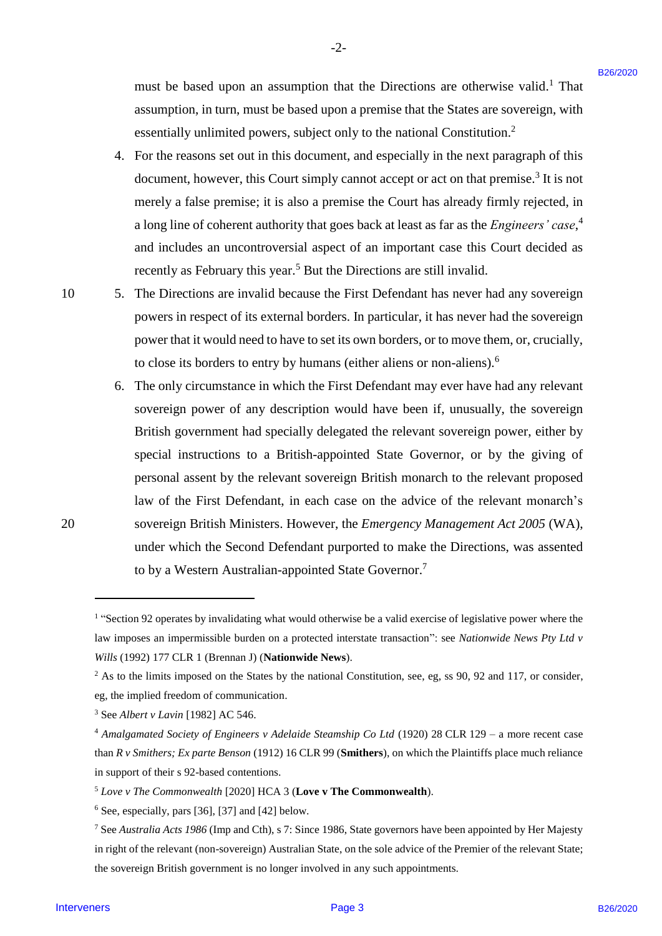must be based upon an assumption that the Directions are otherwise valid. <sup>1</sup> That must be based upon an assumption that the Directions are otherwise valid.! That assumption, in turn, must be based upon a premise that the States are sovereign, with assumption, in turn, must be based upon a premise that the States are sovereign, with essentially unlimited powers, subject only to the national Constitution.<sup>2</sup>

-2- -2-

- 4. For the reasons set out in this document, and especially in the next paragraph of this 4. For the reasonsset out in this document, and especially in the next paragraph of this document, however, this Court simply cannot accept or act on that premise.<sup>3</sup> It is not merely a false premise; it is also a premise the Court has already firmly rejected, in merely <sup>a</sup> false premise; it is also a premise the Court has alreadyfirmly rejected, in a long line of coherent authority that goes back at least as far as the *Engineers' case*, 4 a long line of coherent authority that goes back at least as far as the Engineers' case,\* and includes an uncontroversial aspect of an important case this Court decided as and includes an uncontroversial aspect of an important case this Court decided as recently as February this year.<sup>5</sup> But the Directions are still invalid.
- 10 5. The Directions are invalid because the First Defendant has never had any sovereign 105. The Directions are invalid because the First Defendant has never had any sovereign powers in respect of its external borders. In particular, it has never had the sovereign powers in respect of its external borders. In particular, it has never had the sovereign power that it would need to have to set its own borders, or to move them, or, crucially, power that it would need to have to set its own borders, or to move them, or, crucially, to close its borders to entry by humans (either aliens or non-aliens).<sup>6</sup>
- 6. The only circumstance in which the First Defendant may ever have had any relevant 6. The only circumstance in which the First Defendant may ever have had any relevant sovereign power of any description would have been if, unusually, the sovereign sovereign power of any description would have been if, unusually, the sovereign British government had specially delegated the relevant sovereign power, either by British government had specially delegated the relevant sovereign power, either by special instructions to a British-appointed State Governor, or by the giving of special instructions to a British-appointed State Governor, or by the giving of personal assent by the relevant sovereign British monarch to the relevant proposed personal assent by the relevant sovereign British monarch to the relevant proposed law of the First Defendant, in each case on the advice of the relevant monarch's law of the First Defendant, in each case on the advice of the relevant monarch's 20 sovereign British Ministers. However, the *Emergency Management Act 2005* (WA), 20 sovereign British Ministers. However, the Emergency Management Act 2005 (WA), under which the Second Defendant purported to make the Directions, was assented under which the Second Defendant purported to make the Directions, was assented to by a Western Australian-appointed State Governor.<sup>7</sup> must be bused upon an assumption that the Directions are otherwise valid! That<br>assumption, in turn, must be bused upon an persure liab in Salar-as as worsen page secondary multipliers in the state and the state are severa

<sup>&</sup>lt;sup>1</sup> "Section 92 operates by invalidating what would otherwise be a valid exercise of legislative power where the law imposes an impermissible burden on a protected interstate transaction": see *Nationwide News Pty Ltd v Wills* (1992) 177 CLR 1 (Brennan J) (**Nationwide News**). Wills (1992) 177 CLR 1 (Brennan J) (Nationwide News).

 $2$  As to the limits imposed on the States by the national Constitution, see, eg, ss 90, 92 and 117, or consider, eg, the implied freedom of communication. eg, the implied freedom of communication.

<sup>3</sup> See *Albert v Lavin* [1982] AC 546. 3 See Albert v Lavin [1982] AC 546.

<sup>&</sup>lt;sup>4</sup> Amalgamated Society of Engineers v Adelaide Steamship Co Ltd (1920) 28 CLR 129 - a more recent case than  $R v$  Smithers; Ex parte Benson (1912) 16 CLR 99 (Smithers), on which the Plaintiffs place much reliance in support of their s 92-based contentions.

<sup>5</sup> *Love v The Commonwealth* [2020] HCA 3 (**Love v The Commonwealth**). >Love v The Commonwealth [2020] HCA <sup>3</sup> (Love v The Commonwealth).

<sup>6</sup> See, especially, pars [36], [37] and [42] below. See, especially, pars [36], [37] and [42] below.

<sup>7</sup> See *Australia Acts 1986* (Imp and Cth), s 7: Since 1986, State governors have been appointed by Her Majesty 7 See Australia Acts 1986(Imp and Cth), s 7: Since 1986, State governors have been appointed by Her Majesty in right of the relevant (non-sovereign) Australian State, on the sole advice of the Premier of the relevant State; the sovereign British government is no longer involved in any such appointments. the sovereign British government is no longer involved in any such appointments.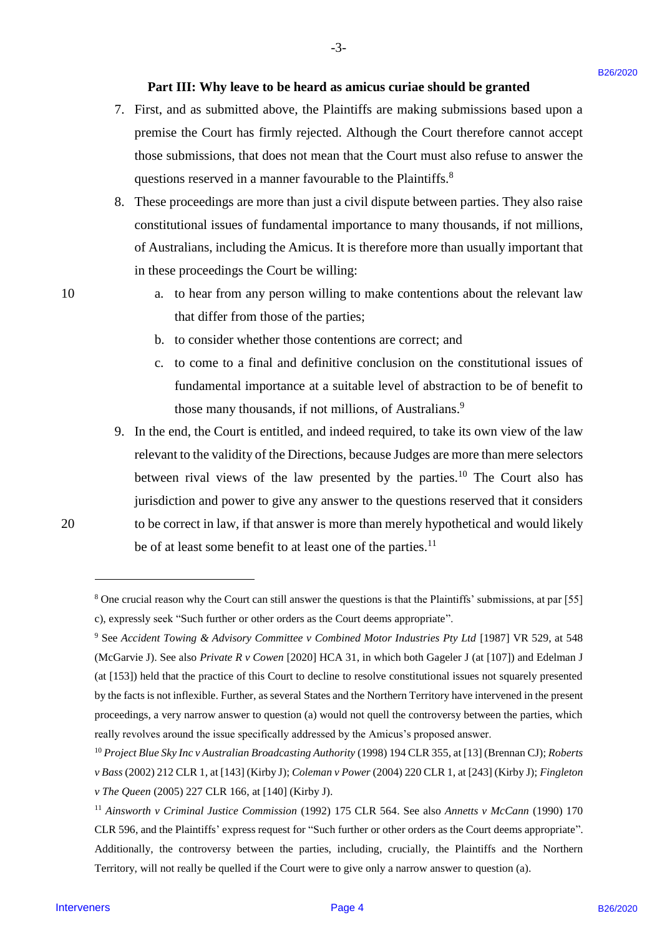## **Part III: Why leave to be heard as amicus curiae should be granted** Part III: Why leave to be heard as amicus curiae should be granted

-3- -3-

- 7. First, and as submitted above, the Plaintiffs are making submissions based upon a 7. First, and as submitted above, the Plaintiffs are making submissions based upon <sup>a</sup> premise the Court has firmly rejected. Although the Court therefore cannot accept premise the Court has firmly rejected. Although the Court therefore cannot accept those submissions, that does not mean that the Court must also refuse to answer the those submissions, that does not mean that the Court must also refuse to answer the questions reserved in a manner favourable to the Plaintiffs.<sup>8</sup>
- 8. These proceedings are more than just a civil dispute between parties. They also raise 8. These proceedings are more than just <sup>a</sup> civil dispute between parties. They also raise constitutional issues of fundamental importance to many thousands, if not millions, constitutional issues of fundamental importance to many thousands, if not millions, of Australians, including the Amicus. It is therefore more than usually important that of Australians, including the Amicus. It is therefore more than usually important that in these proceedings the Court be willing: in these proceedings the Court be willing:
- 10 a. to hear from any person willing to make contentions about the relevant law that differ from those of the parties; that differ from those of the parties;
	- b. to consider whether those contentions are correct; and b. to consider whether those contentions are correct; and
	- c. to come to a final and definitive conclusion on the constitutional issues of fundamental importance at a suitable level of abstraction to be of benefit to those many thousands, if not millions, of Australians.<sup>9</sup>
- 9. In the end, the Court is entitled, and indeed required, to take its own view of the law 9. Inthe end, the Court is entitled, and indeed required, to take its own view of the law relevant to the validity of the Directions, because Judges are more than mere selectors between rival views of the law presented by the parties.<sup>10</sup> The Court also has jurisdiction and power to give any answer to the questions reserved that it considers jurisdiction and power to give any answer to the questions reserved that it considers 20 to be correct in law, if that answer is more than merely hypothetical and would likely <sup>20</sup> to be correct in law, ifthat answer is more than merely hypothetical and would likely be of at least some benefit to at least one of the parties.<sup>11</sup> **Part III:** Why leave to be heard as antices curine should be granted<br>7. First, and as submitted above, the Plaintiffic are making adonesian function<br>for the contribution of the plaintiffic are making the Court therefore

<sup>&</sup>lt;sup>8</sup> One crucial reason why the Court can still answer the questions is that the Plaintiffs' submissions, at par [55] c), expressly seek "Such further or other orders as the Court deems appropriate". c), expressly seek "Such further or other orders as the Court deems appropriate".

<sup>&</sup>lt;sup>9</sup> See Accident Towing & Advisory Committee v Combined Motor Industries Pty Ltd [1987] VR 529, at 548 (McGarvie J). See also *Private R v Cowen* [2020] HCA 31, in which both Gageler J (at [107]) and Edelman J (McGarvie J). See also Private <sup>R</sup> v Cowen [2020] HCA 31, in which both Gageler <sup>J</sup> (at [107]) and Edelman <sup>J</sup> (at [153]) held that the practice of this Court to decline to resolve constitutional issues not squarely presented by the facts is not inflexible. Further, as several States and the Northern Territory have intervened in the present proceedings, a very narrow answer to question (a) would not quell the controversy between the parties, which proceedings, a very narrow answer to question (a) would not quell the controversy between the parties, which really revolves around the issue specifically addressed by the Amicus's proposed answer. really revolves around the issue specifically addressed by the Amicus's proposed answer.

<sup>&</sup>lt;sup>10</sup> Project Blue Sky Inc v Australian Broadcasting Authority (1998) 194 CLR 355, at [13] (Brennan CJ); Roberts v Bass (2002) 212 CLR 1, at [143] (Kirby J); Coleman v Power (2004) 220 CLR 1, at [243] (Kirby J); Fingleton *v The Queen* (2005) 227 CLR 166, at [140] (Kirby J). v The Queen (2005) 227 CLR 166, at [140] (Kirby J).

<sup>&</sup>lt;sup>11</sup> Ainsworth v Criminal Justice Commission (1992) 175 CLR 564. See also Annetts v McCann (1990) 170 CLR 596, and the Plaintiffs' express request for "Such further or other orders as the Court deems appropriate". CLR 596, and the Plaintiffs' express request for "Such further or other orders as the Court deems appropriate". Additionally, the controversy between the parties, including, crucially, the Plaintiffs and the Northern Additionally, the controversy between the parties, including, crucially, the Plaintiffs and the Northern Territory, will not really be quelled if the Court were to give only a narrow answer to question (a). Territory, will not really be quelled if the Court were to give only <sup>a</sup> narrow answer to question (a).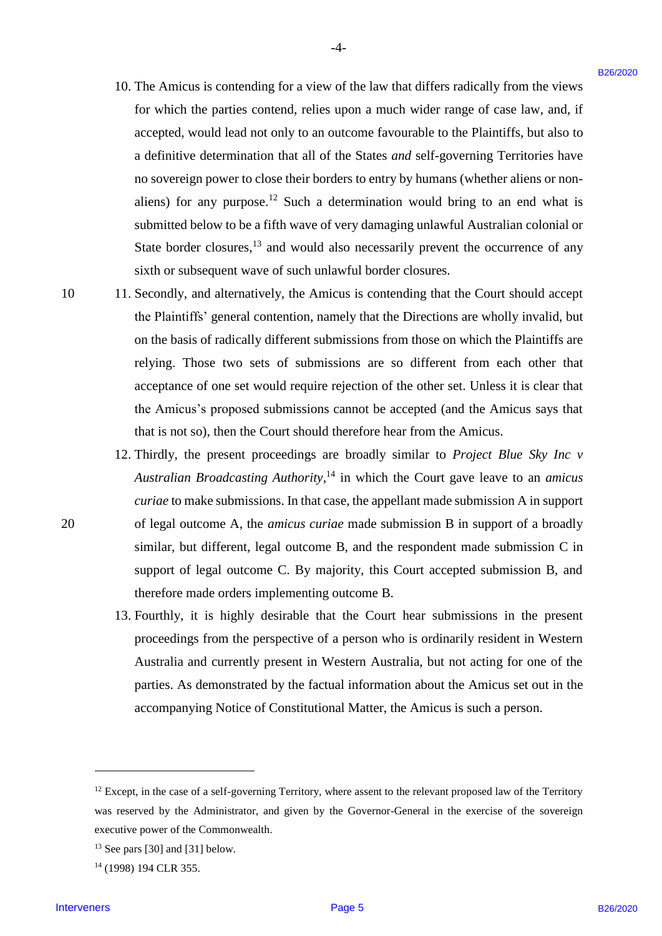10. The Amicus is contending for a view of the law that differs radically from the views 10. The Amicus is contending for a view of the law that differs radically from the views for which the parties contend, relies upon a much wider range of case law, and, if accepted, would lead not only to an outcome favourable to the Plaintiffs, but also to a definitive determination that all of the States *and* self-governing Territories have a definitive determination that all of the States andself-governing Territories have no sovereign power to close their borders to entry by humans (whether aliens or non-no sovereign power to close their borders to entry by humans (whether aliens or nonaliens) for any purpose.<sup>12</sup> Such a determination would bring to an end what is submitted below to be a fifth wave of very damaging unlawful Australian colonial or submitted below to be <sup>a</sup> fifth wave of very damaging unlawful Australian colonial or State border closures, $<sup>13</sup>$  and would also necessarily prevent the occurrence of any</sup> sixth or subsequent wave of such unlawful border closures. sixth or subsequent wave of such unlawful border closures. 10. The Amicsa is contending for a view of the law that differs and<br>call y from the views for a secondary of the state in and wide range of each law, and if<br>a secondary consider the state is separate with a state for a se

-4- -4-

- 10 11. Secondly, and alternatively, the Amicus is contending that the Court should accept 11. Secondly, and alternatively, the Amicus is contending that the Court should accept the Plaintiffs' general contention, namely that the Directions are wholly invalid, but the Plaintiffs' general contention, namely that the Directions are wholly invalid, but on the basis of radically different submissions from those on which the Plaintiffs are relying. Those two sets of submissions are so different from each other that acceptance of one set would require rejection of the other set. Unless it is clear that acceptance of one set would require rejection of the other set. Unless it is clear that the Amicus's proposed submissions cannot be accepted (and the Amicus says that the Amicus's proposed submissions cannot be accepted (and the Amicus says that that is not so), then the Court should therefore hear from the Amicus. that is not so), then the Court should therefore hear from the Amicus.
- 12. Thirdly, the present proceedings are broadly similar to *Project Blue Sky Inc v*  12. Thirdly, the present proceedings are broadly similar to Project Blue Sky Inc v Australian Broadcasting Authority,<sup>14</sup> in which the Court gave leave to an *amicus* curiae to make submissions. In that case, the appellant made submission A in support 20 of legal outcome A, the *amicus curiae* made submission B in support of a broadly similar, but different, legal outcome B, and the respondent made submission C in support of legal outcome C. By majority, this Court accepted submission B, and support of legal outcome C. By majority, this Court accepted submission B, and therefore made orders implementing outcome B. therefore made orders implementing outcome B.
	- 13. Fourthly, it is highly desirable that the Court hear submissions in the present 13. Fourthly, it is highly desirable that the Court hear submissions in the present proceedings from the perspective of a person who is ordinarily resident in Western proceedings from the perspective of a person who is ordinarily resident in Western Australia and currently present in Western Australia, but not acting for one of the Australia and currently present in Western Australia, but not acting for one of the parties. As demonstrated by the factual information about the Amicus set out in the parties. As demonstrated by the factual information about the Amicus set out in the accompanying Notice of Constitutional Matter, the Amicus is such a person. accompanying Notice of Constitutional Matter, the Amicus is such <sup>a</sup> person.

<u>.</u>

 $12$  Except, in the case of a self-governing Territory, where assent to the relevant proposed law of the Territory was reserved by the Administrator, and given by the Governor-General in the exercise of the sovereign was reserved by the Administrator, and given by the Governor-General in the exercise of the sovereign executive power of the Commonwealth. executive power of the Commonwealth.

 $13$  See pars [30] and [31] below.

<sup>14</sup> (1998) 194 CLR 355. '4 (1998) 194 CLR 355.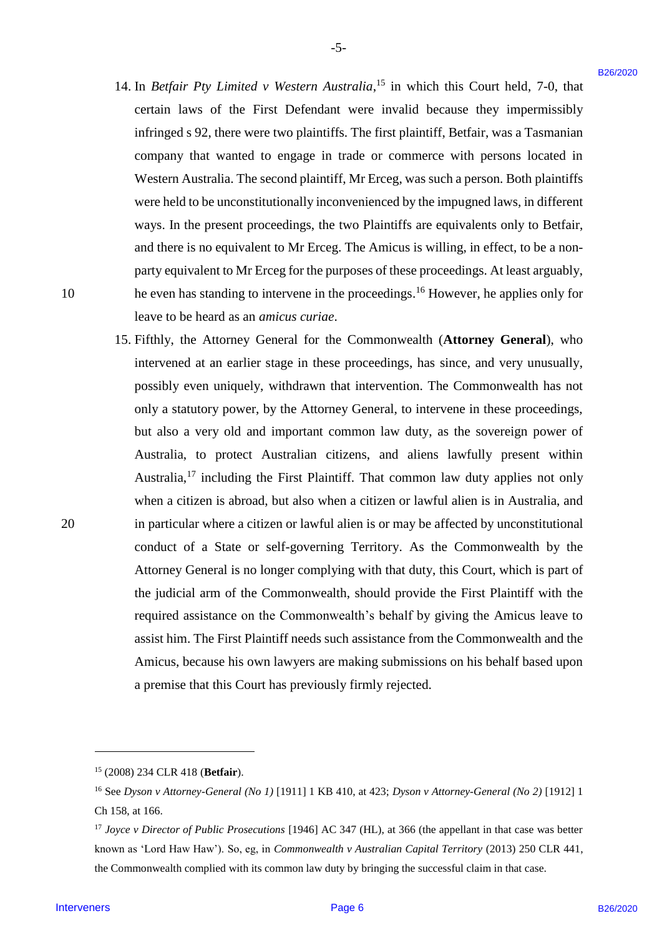14. In *Betfair Pty Limited v Western Australia*,<sup>15</sup> in which this Court held, 7-0, that certain laws of the First Defendant were invalid because they impermissibly certain laws of the First Defendant were invalid because they impermissibly infringed s 92, there were two plaintiffs. The first plaintiff, Betfair, was a Tasmanian infringed <sup>s</sup> 92, there were two plaintiffs. The first plaintiff, Betfair, was a Tasmanian company that wanted to engage in trade or commerce with persons located in company that wanted to engage in trade or commerce with persons located in Western Australia. The second plaintiff, Mr Erceg, was such a person. Both plaintiffs Western Australia. The second plaintiff, Mr Erceg, was such aperson. Both plaintiffs were held to be unconstitutionally inconvenienced by the impugned laws, in different were held to be unconstitutionally inconvenienced by the impugned laws, in different ways. In the present proceedings, the two Plaintiffs are equivalents only to Betfair, ways. In the present proceedings, the two Plaintiffs are equivalents only to Betfair, and there is no equivalent to Mr Erceg. The Amicus is willing, in effect, to be a non-and there is no equivalent to Mr Erceg. The Amicus is willing, in effect, to be <sup>a</sup> nonparty equivalent to Mr Erceg for the purposes of these proceedings. At least arguably, party equivalent to Mr Erceg for the purposes of these proceedings. At least arguably, 10 he even has standing to intervene in the proceedings.<sup>16</sup> However, he applies only for leave to be heard as an *amicus curiae*. leave to be heard as an amicus curiae.

-5- -5-

15. Fifthly, the Attorney General for the Commonwealth (**Attorney General**), who 15. Fifthly, the Attorney General for the Commonwealth (Attorney General), who intervened at an earlier stage in these proceedings, has since, and very unusually, intervened at an earlier stage in these proceedings, has since, and very unusually, possibly even uniquely, withdrawn that intervention. The Commonwealth has not possibly even uniquely, withdrawn that intervention. The Commonwealth has not only a statutory power, by the Attorney General, to intervene in these proceedings, but also a very old and important common law duty, as the sovereign power of butalso <sup>a</sup> very old and important common law duty, as the sovereign power of Australia, to protect Australian citizens, and aliens lawfully present within Australia, to protect Australian citizens, and aliens lawfully present within Australia,<sup>17</sup> including the First Plaintiff. That common law duty applies not only when a citizen is abroad, but also when a citizen or lawful alien is in Australia, and 20 in particular where a citizen or lawful alien is or may be affected by unconstitutional in particular where <sup>a</sup> citizen or lawful alien is or may be affected by unconstitutional conduct of a State or self-governing Territory. As the Commonwealth by the Attorney General is no longer complying with that duty, this Court, which is part of Attorney General is no longer complying with that duty, this Court, which is part of the judicial arm of the Commonwealth, should provide the First Plaintiff with the the judicial arm of the Commonwealth, should provide the First Plaintiff with the required assistance on the Commonwealth's behalf by giving the Amicus leave to assist him. The First Plaintiff needs such assistance from the Commonwealth and the assist him. The First Plaintiff needs such assistance from the Commonwealth and the Amicus, because his own lawyers are making submissions on his behalf based upon Amicus, because his own lawyers are making submissions on his behalf based upon a premise that this Court has previously firmly rejected. a premise that this Court has previously firmly rejected. 14. In *Berjair Pro-Limited* v *Western Anstrolia*,<sup>13</sup> In which this Costt held, 2-0, that<br>
certain laws of the First Deletakan were irrealist because they impressed<br>by computerious the properties of the First Deletaka

<u>.</u>

<sup>&</sup>lt;sup>15</sup> (2008) 234 CLR 418 (Betfair).

<sup>16</sup> See *Dyson v Attorney-General (No 1)* [1911] 1 KB 410, at 423; *Dyson v Attorney-General (No 2)* [1912] 1 '6 See Dyson v Attorney-General (No 1) [1911] 1 KB 410, at 423; Dyson v Attorney-General (No 2) [1912] 1 Ch 158, at 166. Ch 158, at 166.

<sup>&</sup>lt;sup>17</sup> Joyce v Director of Public Prosecutions [1946] AC 347 (HL), at 366 (the appellant in that case was better known as 'Lord Haw Haw'). So, eg, in *Commonwealth v Australian Capital Territory* (2013) 250 CLR 441, known as 'Lord Haw Haw'). So, eg, in Commonwealth v Australian Capital Territory (2013) 250 CLR 441, the Commonwealth complied with its common law duty by bringing the successful claim in that case. the Commonwealth complied with its common law duty by bringing the successful claim in that case.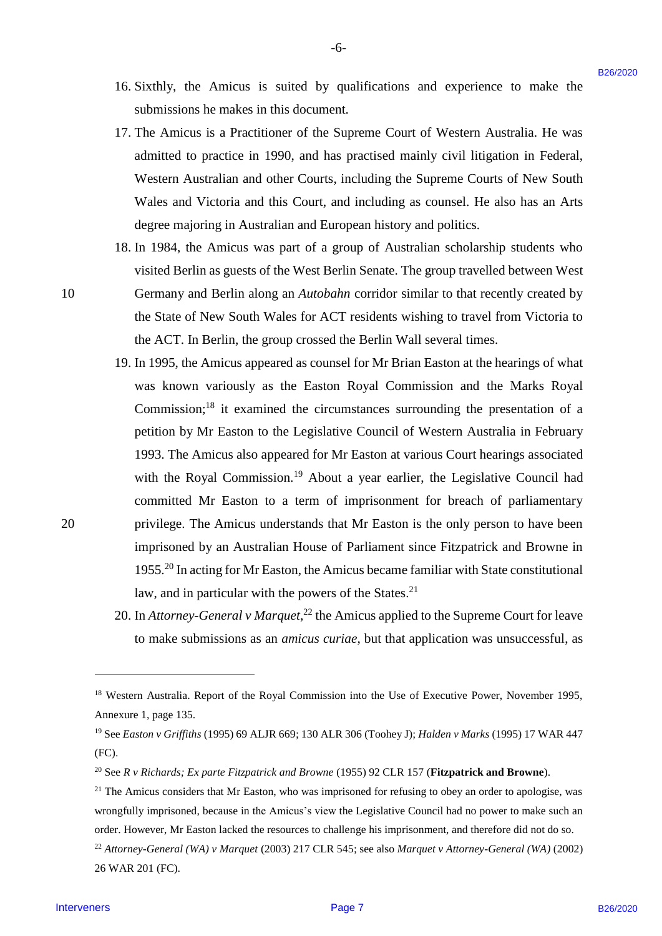16. Sixthly, the Amicus is suited by qualifications and experience to make the 16. Sixthly, the Amicus is suited by qualifications and experience to make the submissions he makes in this document. submissions he makes in this document.

-6- -6-

- 17. The Amicus is a Practitioner of the Supreme Court of Western Australia. He was 17. The Amicus is <sup>a</sup> Practitioner of the Supreme Court of Western Australia. He was admitted to practice in 1990, and has practised mainly civil litigation in Federal, admitted to practice in 1990, and has practised mainly civil litigation in Federal, Western Australian and other Courts, including the Supreme Courts of New South Western Australian and other Courts, including the Supreme Courts of New South Wales and Victoria and this Court, and including as counsel. He also has an Arts Wales and Victoria and this Court, and including as counsel. He also has an Arts degree majoring in Australian and European history and politics. degree majoring in Australian and European history and politics.
- 18. In 1984, the Amicus was part of a group of Australian scholarship students who 18. In 1984, the Amicus was part of a group of Australian scholarship students who visited Berlin as guests of the West Berlin Senate. The group travelled between West visited Berlin as guests of the West Berlin Senate. The group travelled between West 10 Germany and Berlin along an *Autobahn* corridor similar to that recently created by Germany and Berlin along an Autobahn corridor similar to that recently created by the State of New South Wales for ACT residents wishing to travel from Victoria to the ACT. In Berlin, the group crossed the Berlin Wall several times. the ACT. In Berlin, the group crossed the Berlin Wall several times.
- 19. In 1995, the Amicus appeared as counsel for Mr Brian Easton at the hearings of what 19. In 1995, the Amicus appeared as counsel for Mr Brian Easton at the hearings of what was known variously as the Easton Royal Commission and the Marks Royal was known variously as the Easton Royal Commission and the Marks Royal Commission; $^{18}$  it examined the circumstances surrounding the presentation of a petition by Mr Easton to the Legislative Council of Western Australia in February petition by Mr Easton to the Legislative Council of Western Australia in February 1993. The Amicus also appeared for Mr Easton at various Court hearings associated 1993. The Amicus also appeared for Mr Easton at various Court hearings associated with the Royal Commission.<sup>19</sup> About a year earlier, the Legislative Council had committed Mr Easton to a term of imprisonment for breach of parliamentary committed Mr Easton to <sup>a</sup> term of imprisonment for breach of parliamentary 20 privilege. The Amicus understands that Mr Easton is the only person to have been privilege. The Amicus understands that Mr Easton is the only person to have been imprisoned by an Australian House of Parliament since Fitzpatrick and Browne in imprisoned by an Australian House of Parliament since Fitzpatrick and Browne in 1955.<sup>20</sup> In acting for Mr Easton, the Amicus became familiar with State constitutional law, and in particular with the powers of the States.<sup>21</sup> 16. Sixthly, the Arabiens is articled by qualifications and experience to make the shoulders. This Analysis is a Packtion of the Soptence Court of Western Anaturalia. He was advised to the second of the second control is
	- 20. In *Attorney-General v Marquet*,<sup>22</sup> the Amicus applied to the Supreme Court for leave to make submissions as an *amicus curiae*, but that application was unsuccessful, as to make submissions as an amicus curiae, but that application was unsuccessful, as

<u>.</u>

<sup>&</sup>lt;sup>18</sup> Western Australia. Report of the Royal Commission into the Use of Executive Power, November 1995, Annexure 1, page 135. Annexure 1, page 135.

<sup>19</sup> See *Easton v Griffiths* (1995) 69 ALJR 669; 130 ALR 306 (Toohey J); *Halden v Marks* (1995) 17 WAR 447 '9 See Easton v Griffiths (1995) 69 ALJR 669; 130 ALR 306 (Toohey J); Halden v Marks (1995) 17 WAR 447 (FC). (FC).

<sup>&</sup>lt;sup>20</sup> See *R v Richards; Ex parte Fitzpatrick and Browne* (1955) 92 CLR 157 (Fitzpatrick and Browne).

<sup>&</sup>lt;sup>21</sup> The Amicus considers that Mr Easton, who was imprisoned for refusing to obey an order to apologise, was wrongfully imprisoned, because in the Amicus's view the Legislative Council had no power to make such an wrongfully imprisoned, because in the Amicus's view the Legislative Council had no power to make such an order. However, Mr Easton lacked the resources to challenge his imprisonment, and therefore did not do so. order. However, Mr Easton lacked the resources to challenge his imprisonment, and therefore did not do so.

<sup>22</sup> *Attorney-General (WA) v Marquet* (2003) 217 CLR 545; see also *Marquet v Attorney-General (WA)* (2002) 2 Attorney-General (WA) v Marquet (2003) 217 CLR 545; see also Marquet v Attorney-General (WA) (2002) 26 WAR 201 (FC). 26 WAR 201 (FC).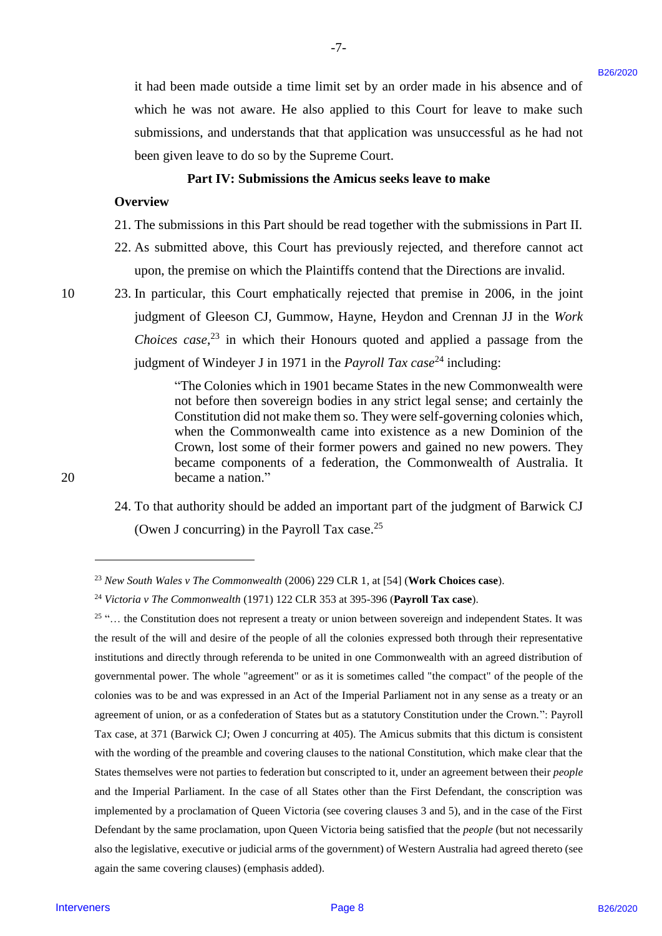it had been made outside a time limit set by an order made in his absence and of it had been made outside a time limit set by an order made in his absence and of which he was not aware. He also applied to this Court for leave to make such which he was not aware. He also applied to this Court for leave to make such submissions, and understands that that application was unsuccessful as he had not submissions, and understands that that application was unsuccessful as he had not been given leave to do so by the Supreme Court. been given leave to do so by the Supreme Court.

#### **Part IV: Submissions the Amicus seeks leave to make** Part IV: Submissions the Amicus seeks leave to make

-7- -7-

#### **Overview** Overview

- 21. The submissions in this Part should be read together with the submissions in Part II. 21. The submissions in this Part should be read together with the submissions in Part II.
- 22. As submitted above, this Court has previously rejected, and therefore cannot act 22. As submitted above, this Court has previously rejected, and therefore cannot act upon, the premise on which the Plaintiffs contend that the Directions are invalid. upon, the premise on which the Plaintiffs contend that the Directions are invalid.
- 10 23. In particular, this Court emphatically rejected that premise in 2006, in the joint judgment of Gleeson CJ, Gummow, Hayne, Heydon and Crennan JJ in the *Work*  judgment of Gleeson CJ, Gummow, Hayne, Heydon and Crennan JJ in the Work *Choices case*<sup>23</sup> in which their Honours quoted and applied a passage from the judgment of Windeyer J in 1971 in the *Payroll Tax case*<sup>24</sup> including:

"The Colonies which in 1901 became States in the new Commonwealth were "The Colonies which in 1901 became States in the new Commonwealth were not before then sovereign bodies in any strict legal sense; and certainly the not before then sovereign bodies in any strict legal sense; and certainly the Constitution did not make them so. They were self-governing colonies which, Constitution did not make them so. They were self-governing colonies which, when the Commonwealth came into existence as a new Dominion of the when the Commonwealth came into existence as <sup>a</sup> new Dominion of the Crown, lost some of their former powers and gained no new powers. They Crown, lost some of their former powers and gained no new powers. They became components of a federation, the Commonwealth of Australia. It became components of <sup>a</sup> federation, the Commonwealth of Australia. It 20 became a nation." <sup>20</sup> becamea nation."

> 24. To that authority should be added an important part of the judgment of Barwick CJ 24. To that authority should be added an important part of the judgment of Barwick CJ (Owen J concurring) in the Payroll Tax case. $25$

<sup>&</sup>lt;sup>23</sup> New South Wales v The Commonwealth (2006) 229 CLR 1, at [54] (**Work Choices case**).

<sup>24</sup> *Victoria v The Commonwealth* (1971) 122 CLR 353 at 395-396 (**Payroll Tax case**). 4 Victoria v The Commonwealth (1971) 122 CLR 353 at 395-396 (Payroll Tax case).

<sup>&</sup>lt;sup>25</sup> "... the Constitution does not represent a treaty or union between sovereign and independent States. It was the result of the will and desire of the people of all the colonies expressed both through their representative the result of the will and desire of the people of all the colonies expressed both through their representative institutions and directly through referenda to be united in one Commonwealth with an agreed distribution of institutions and directly through referenda to be united in one Commonwealth with an agreed distribution of governmental power. The whole "agreement" or as it is sometimes called "the compact" of the people of the governmental power. The whole "agreement" or as it is sometimes called "the compact" of the people of the colonies was to be and was expressed in an Act of the Imperial Parliament not in any sense as a treaty or an colonies was to be and was expressed in an Act of the Imperial Parliament not in any sense as a treaty or an agreement of union, or as a confederation of States but as a statutory Constitution under the Crown.": Payroll agreement of union, or as a confederation of States but as a statutory Constitution under the Crown.": Payroll Tax case, at 371 (Barwick CJ; Owen J concurring at 405). The Amicus submits that this dictum is consistent Tax case, at 371 (Barwick CJ; Owen J concurring at 405). The Amicus submits that this dictum is consistent with the wording of the preamble and covering clauses to the national Constitution, which make clear that the States themselves were not parties to federation but conscripted to it, under an agreement between their people and the Imperial Parliament. In the case of all States other than the First Defendant, the conscription was and the Imperial Parliament. In the case of all States other than the First Defendant, the conscription was implemented by a proclamation of Queen Victoria (see covering clauses 3 and 5), and in the case of the First implemented by a proclamation of Queen Victoria (see covering clauses <sup>3</sup> and 5), and in the case of the First Defendant by the same proclamation, upon Queen Victoria being satisfied that the *people* (but not necessarily also the legislative, executive or judicial arms of the government) of Western Australia had agreed thereto (see again the same covering clauses) (emphasis added). again the same covering clauses) (emphasis added). It had been made outside a time limit set by an order made in his absence and effects a some set as some set of state specified to this Court for lawe is onede such that the state of the state of the state of the state of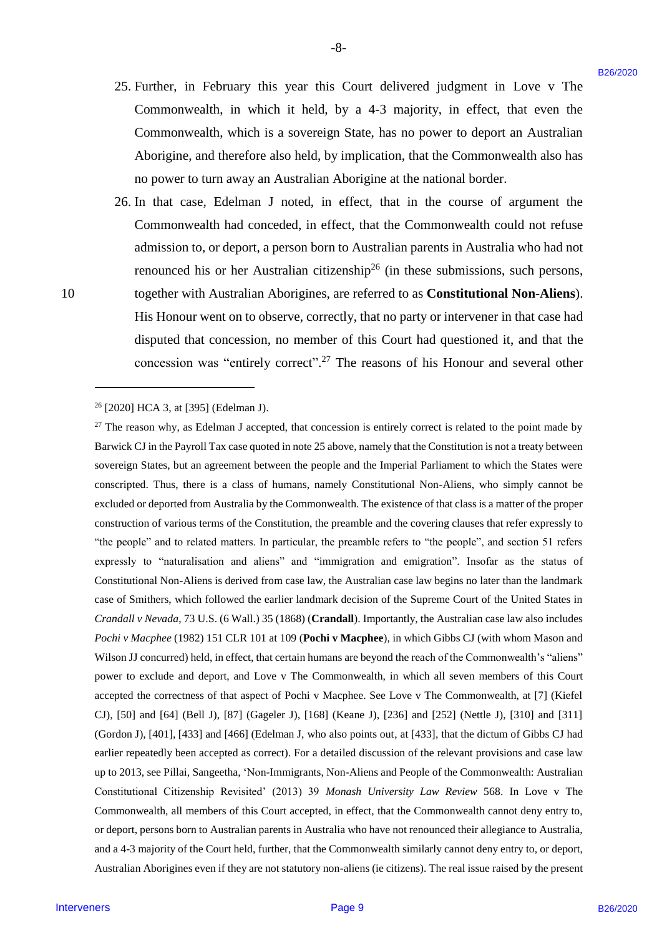25. Further, in February this year this Court delivered judgment in Love v The 25. Further, in February this year this Court delivered judgment in Love v The Commonwealth, in which it held, by a 4-3 majority, in effect, that even the Commonwealth, in which it held, by <sup>a</sup> 4-3 majority, in effect, that even the Commonwealth, which is a sovereign State, has no power to deport an Australian Commonwealth, which is a sovereign State, has no power to deport an Australian Aborigine, and therefore also held, by implication, that the Commonwealth also has Aborigine, and therefore also held, by implication, that the Commonwealth also has no power to turn away an Australian Aborigine at the national border. no power to turn away an Australian Aborigine at the national border.

-8- -8-

26. In that case, Edelman J noted, in effect, that in the course of argument the 26. In that case, Edelman <sup>J</sup> noted, in effect, that in the course of argument the Commonwealth had conceded, in effect, that the Commonwealth could not refuse Commonwealth had conceded, in effect, that the Commonwealth could not refuse admission to, or deport, a person born to Australian parents in Australia who had not admission to, or deport, <sup>a</sup> person born to Australian parents in Australia who had not renounced his or her Australian citizenship<sup>26</sup> (in these submissions, such persons, 10 together with Australian Aborigines, are referred to as **Constitutional Non-Aliens**). His Honour went on to observe, correctly, that no party or intervener in that case had His Honour went on to observe, correctly, that no party or intervener in that case haddisputed that concession, no member of this Court had questioned it, and that the disputed that concession, no member of this Court had questioned it, and that the concession was "entirely correct".<sup>27</sup> The reasons of his Honour and several other

-

<sup>26</sup> [2020] HCA 3, at [395] (Edelman J). 6 [2020] HCA 3, at [395] (Edelman J).

 $27$  The reason why, as Edelman J accepted, that concession is entirely correct is related to the point made by Barwick CJ in the Payroll Tax case quoted in note 25 above, namely that the Constitution is not a treaty between sovereign States, but an agreement between the people and the Imperial Parliament to which the States were sovereign States, but an agreement between the people and the Imperial Parliament to which the States were conscripted. Thus, there is a class of humans, namely Constitutional Non-Aliens, who simply cannot be conscripted. Thus, there is a class of humans, namely Constitutional Non-Aliens, who simply cannot be excluded or deported from Australia by the Commonwealth. The existence of that class is a matter of the proper excluded or deported from Australia by the Commonwealth. The existence ofthat class is <sup>a</sup> matter of the proper construction of various terms of the Constitution, the preamble and the covering clauses that refer expressly to "the people" and to related matters. In particular, the preamble refers to "the people", and section 51 refers "the people" and to related matters. In particular, the preamble refers to "the people", and section 51 refers expressly to "naturalisation and aliens" and "immigration and emigration". Insofar as the status of expressly to "naturalisation and aliens" and "immigration and emigration". Insofar as the status of Constitutional Non-Aliens is derived from case law, the Australian case law begins no later than the landmark Constitutional Non-Aliens is derived from case law, the Australian case law begins no later than the landmark case of Smithers, which followed the earlier landmark decision of the Supreme Court of the United States in case of Smithers, which followed the earlier landmark decision of the Supreme Court of the United States in Crandall v Nevada, 73 U.S. (6 Wall.) 35 (1868) (Crandall). Importantly, the Australian case law also includes Pochi v Macphee (1982) 151 CLR 101 at 109 (Pochi v Macphee), in which Gibbs CJ (with whom Mason and Wilson JJ concurred) held, in effect, that certain humans are beyond the reach of the Commonwealth's "aliens" power to exclude and deport, and Love v The Commonwealth, in which all seven members of this Court power to exclude and deport, and Love v The Commonwealth, in which all seven members of this Court accepted the correctness of that aspect of Pochi v Macphee. See Love v The Commonwealth, at [7] (Kiefel accepted the correctness of that aspect of Pochi v Macphee. See Love v The Commonwealth, at [7] (Kiefel CJ), [50] and [64] (Bell J), [87] (Gageler J), [168] (Keane J), [236] and [252] (Nettle J), [310] and [311] CJ), [50] and [64] (Bell J), [87] (Gageler J), [168] (Keane J), [236] and [252] (Nettle J), [310] and [311] (Gordon J), [401], [433] and [466] (Edelman J, who also points out, at [433], that the dictum of Gibbs CJ had (Gordon J), [401], [433] and [466] (Edelman J, who also points out, at [433], that the dictum of Gibbs CJ had earlier repeatedly been accepted as correct). For a detailed discussion of the relevant provisions and case law earlier repeatedly been accepted as correct). For a detailed discussion of the relevant provisions and case law up to 2013, see Pillai, Sangeetha, 'Non-Immigrants, Non-Aliens and People of the Commonwealth: Australian up to 2013, see Pillai, Sangeetha, 'Non-Immigrants, Non-Aliens and People ofthe Commonwealth: Australian Constitutional Citizenship Revisited' (2013) 39 *Monash University Law Review* 568. In Love v The Constitutional Citizenship Revisited' (2013) 39 Monash University Law Review 568. In Love v TheCommonwealth, all members of this Court accepted, in effect, that the Commonwealth cannot deny entry to, Commonwealth, all members of this Court accepted, in effect, that the Commonwealth cannot deny entry to, or deport, persons born to Australian parents in Australia who have not renounced their allegiance to Australia, and a 4-3 majority of the Court held, further, that the Commonwealth similarly cannot deny entry to, or deport, and a 4-3 majority ofthe Court held, further, that the Commonwealth similarly cannot deny entry to, or deport, Australian Aborigines even if they are not statutory non-aliens (ie citizens). The real issue raised by the present 25. Further, in February this year this Court delivered judgment in Love v The<br>Commonwealth, which is a sovereign Stac, has no power to depot in Africa Page 1<br>Commonwealth, which is a sovereign Stac, has no power to depot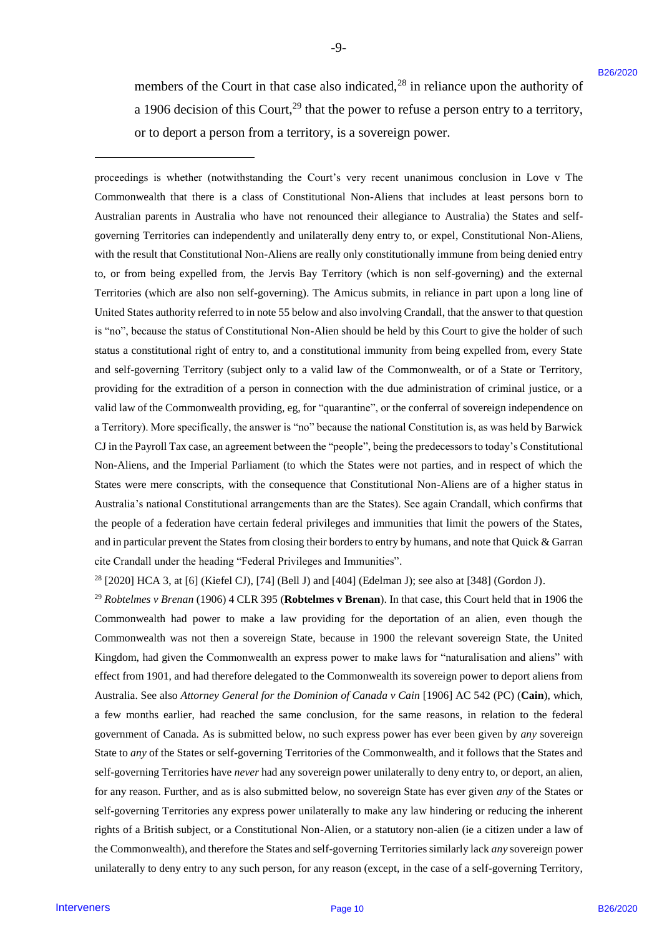members of the Court in that case also indicated, $^{28}$  in reliance upon the authority of a 1906 decision of this Court,<sup>29</sup> that the power to refuse a person entry to a territory, or to deport a person from a territory, is a sovereign power. or to deport <sup>a</sup> person fromaterritory, is <sup>a</sup> sovereign power.

-9- -9-

proceedings is whether (notwithstanding the Court's very recent unanimous conclusion in Love v The proceedings is whether (notwithstanding the Court's very recent unanimous conclusion in Love v The Commonwealth that there is a class of Constitutional Non-Aliens that includes at least persons born to Commonwealth that there is a class of Constitutional Non-Aliens that includes at least persons born to Australian parents in Australia who have not renounced their allegiance to Australia) the States and self-Australian parents in Australia who have not renounced their allegiance to Australia) the States and selfgoverning Territories can independently and unilaterally deny entry to, or expel, Constitutional Non-Aliens, governing Territories can independently and unilaterally deny entry to, or expel, Constitutional Non-Aliens, with the result that Constitutional Non-Aliens are really only constitutionally immune from being denied entry with the result that Constitutional Non-Aliens are really only constitutionally immune from being denied entry to, or from being expelled from, the Jervis Bay Territory (which is non self-governing) and the external to, or from being expelled from, the Jervis Bay Territory (which is non self-governing) and the external Territories (which are also non self-governing). The Amicus submits, in reliance in part upon a long line of Territories (which are also non self-governing). The Amicus submits, in reliance in part upon a long line of United States authority referred to in note 55 below and also involving Crandall, that the answer to that question is "no", because the status of Constitutional Non-Alien should be held by this Court to give the holder of such is "no", because the status of Constitutional Non-Alien should be held by this Court to give the holder of such status a constitutional right of entry to, and a constitutional immunity from being expelled from, every State status a constitutional right of entry to, and <sup>a</sup> constitutional immunity from being expelled from, every State and self-governing Territory (subject only to a valid law of the Commonwealth, or of a State or Territory, and self-governing Territory (subject only to a valid law of the Commonwealth, or of a State or Territory, providing for the extradition of a person in connection with the due administration of criminal justice, or a providing for the extradition of a person in connection with the due administration of criminal justice, or <sup>a</sup> valid law of the Commonwealth providing, eg, for "quarantine", or the conferral of sovereign independence on a Territory). More specifically, the answer is "no" because the national Constitution is, as was held by Barwick CJ in the Payroll Tax case, an agreement between the "people", being the predecessors to today's Constitutional CJ in the Payroll Tax case, an agreement between the "people", being the predecessors to today's Constitutional Non-Aliens, and the Imperial Parliament (to which the States were not parties, and in respect of which the Non-Aliens, and the Imperial Parliament (to which the States were not parties, and in respect of which the States were mere conscripts, with the consequence that Constitutional Non-Aliens are of a higher status in States were mere conscripts, with the consequence that Constitutional Non-Aliens are of a higher status in Australia's national Constitutional arrangements than are the States). See again Crandall, which confirms that Australia's national Constitutional arrangements than are the States). See again Crandall, which confirms that the people of a federation have certain federal privileges and immunities that limit the powers of the States, the people of a federation have certain federal privileges and immunities that limit the powers of the States, and in particular prevent the States from closing their borders to entry by humans, and note that Quick & Garran cite Crandall under the heading "Federal Privileges and Immunities". cite Crandall under the heading "Federal Privileges and Immunities". meanbes of the Court in that case also indicated.<sup>16</sup> in redistor spon the substitute of the 100 decision of the Court in the Court in the Court in the Court in the Court in the Court in the Court in the Court in the Cour

 $28$  [2020] HCA 3, at [6] (Kiefel CJ), [74] (Bell J) and [404] (Edelman J); see also at [348] (Gordon J).

<sup>29</sup> Robtelmes v Brenan (1906) 4 CLR 395 (Robtelmes v Brenan). In that case, this Court held that in 1906 the Commonwealth had power to make a law providing for the deportation of an alien, even though the Commonwealth had power to make a law providing for the deportation of an alien, even though the Commonwealth was not then a sovereign State, because in 1900 the relevant sovereign State, the United Commonwealth was not then a sovereign State, because in 1900 the relevant sovereign State, the United Kingdom, had given the Commonwealth an express power to make laws for "naturalisation and aliens" with Kingdom, had given the Commonwealth an express power to make laws for "naturalisation and aliens" with effect from 1901, and had therefore delegated to the Commonwealth its sovereign power to deport aliens from effect from 1901, and had therefore delegated to the Commonwealth its sovereign power to deport aliens from Australia. See also Attorney General for the Dominion of Canada v Cain [1906] AC 542 (PC) (Cain), which, a few months earlier, had reached the same conclusion, for the same reasons, in relation to the federal a few months earlier, had reached the same conclusion, for the same reasons, in relation to the federal government of Canada. As is submitted below, no such express power has ever been given by *any* sovereign government of Canada. As is submitted below, no such express power has ever been given by any sovereign State to any of the States or self-governing Territories of the Commonwealth, and it follows that the States and self-governing Territories have never had any sovereign power unilaterally to deny entry to, or deport, an alien, for any reason. Further, and as is also submitted below, no sovereign State has ever given any of the States or self-governing Territories any express power unilaterally to make any law hindering or reducing the inherent self-governing Territories any express power unilaterally to make any law hindering or reducing the inherent rights of a British subject, or a Constitutional Non-Alien, or a statutory non-alien (ie a citizen under a law of the Commonwealth), and therefore the States and self-governing Territories similarly lack any sovereign power unilaterally to deny entry to any such person, for any reason (except, in the case of a self-governing Territory,

-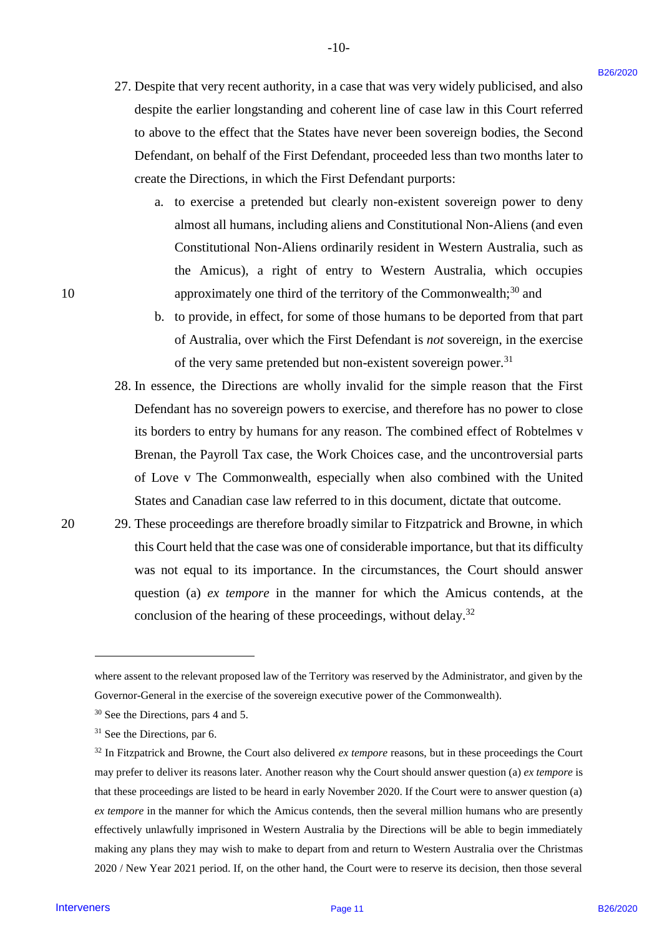27. Despite that very recent authority, in a case that was very widely publicised, and also 27. Despite that very recent authority, in <sup>a</sup> case that was very widely publicised, and also despite the earlier longstanding and coherent line of case law in this Court referred despite the earlier longstanding and coherent line of case law in this Court referred to above to the effect that the States have never been sovereign bodies, the Second to above to the effect that the States have never been sovereign bodies, the Second Defendant, on behalf of the First Defendant, proceeded less than two months later to Defendant, on behalf of the First Defendant, proceeded less than two months later to create the Directions, in which the First Defendant purports: create the Directions, in which the First Defendant purports:

-10- -10-

- a. to exercise a pretended but clearly non-existent sovereign power to deny a. to exercise <sup>a</sup> pretended but clearly non-existent sovereign power to deny almost all humans, including aliens and Constitutional Non-Aliens (and even almost all humans, including aliens and Constitutional Non-Aliens (and even Constitutional Non-Aliens ordinarily resident in Western Australia, such as Constitutional Non-Aliens ordinarily resident in Western Australia, such as the Amicus), a right of entry to Western Australia, which occupies the Amicus), <sup>a</sup> right of entry to Western Australia, which occupies 10 approximately one third of the territory of the Commonwealth;<sup>30</sup> and
	- b. to provide, in effect, for some of those humans to be deported from that part b. to provide, in effect, for some of those humans to be deported from that part of Australia, over which the First Defendant is not sovereign, in the exercise of the very same pretended but non-existent sovereign power.<sup>31</sup>
	- 28. In essence, the Directions are wholly invalid for the simple reason that the First 28. In essence, the Directions are wholly invalid for the simple reason that the First Defendant has no sovereign powers to exercise, and therefore has no power to close Defendant has no sovereign powers to exercise, and therefore has no power to close its borders to entry by humans for any reason. The combined effect of Robtelmes v its borders to entry by humans for any reason. The combined effect of Robtelmes v Brenan, the Payroll Tax case, the Work Choices case, and the uncontroversial parts Brenan, the Payroll Tax case, the Work Choices case, and the uncontroversial parts of Love v The Commonwealth, especially when also combined with the United States and Canadian case law referred to in this document, dictate that outcome. States and Canadian case law referred to in this document, dictate that outcome.
- 20 29. These proceedings are therefore broadly similar to Fitzpatrick and Browne, in which 20 29. These proceedings are therefore broadly similar to Fitzpatrick and Browne, in which this Court held that the case was one of considerable importance, but that its difficulty this Court held that the case was one of considerable importance, but that its difficulty was not equal to its importance. In the circumstances, the Court should answer was not equal to its importance. In the circumstances, the Court should answer question (a) *ex tempore* in the manner for which the Amicus contends, at the question (a) ex tempore in the manner for which the Amicus contends, at the conclusion of the hearing of these proceedings, without delay.<sup>32</sup>

where assent to the relevant proposed law of the Territory was reserved by the Administrator, and given by the where assent to the relevant proposed law of the Territory was reserved by the Administrator, and given by the Governor-General in the exercise of the sovereign executive power of the Commonwealth). Governor-General in the exercise ofthe sovereign executive power of the Commonwealth).

<sup>30</sup> See the Directions, pars 4 and 5. 3° See the Directions, pars 4 and 5.

<sup>31</sup> See the Directions, par 6. 3! See the Directions, par 6.

 $32$  In Fitzpatrick and Browne, the Court also delivered *ex tempore* reasons, but in these proceedings the Court may prefer to deliver its reasons later. Another reason why the Court should answer question (a) ex tempore is that these proceedings are listed to be heard in early November 2020. If the Court were to answer question (a) ex tempore in the manner for which the Amicus contends, then the several million humans who are presently effectively unlawfully imprisoned in Western Australia by the Directions will be able to begin immediately effectively unlawfully imprisoned in Western Australia by the Directions will be able to begin immediately making any plans they may wish to make to depart from and return to Western Australia over the Christmas making any plans they may wish to make to depart from and return to Western Australia over the Christmas 2020 / New Year 2021 period. If, on the other hand, the Court were to reserve its decision, then those several 2020 / New Year 2021 period. If, on the other hand, the Court were to reserve its decision, then those several 27. Despite that very record anthority, in a case that was very widely poblicised, and also despite the vertical case in a vertical case in a view on the Cost in effects of the cost in the cost in the cost in the cost in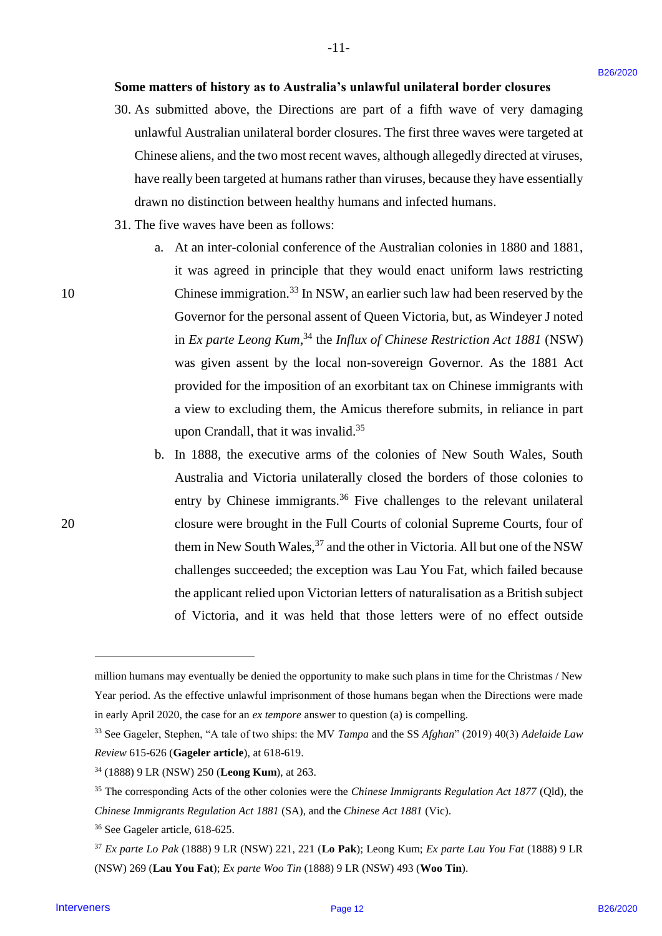## **Some matters of history as to Australia's unlawful unilateral border closures** Some matters of history as to Australia's unlawful unilateral border closures

-11- -l1-

- 30. As submitted above, the Directions are part of a fifth wave of very damaging 30. As submitted above, the Directions are part of <sup>a</sup> fifth wave of very damaging unlawful Australian unilateral border closures. The first three waves were targeted at unlawful Australian unilateral border closures. The first three waves were targeted at Chinese aliens, and the two most recent waves, although allegedly directed at viruses, Chinese aliens, and the two most recent waves, although allegedly directed at viruses, have really been targeted at humans rather than viruses, because they have essentially drawn no distinction between healthy humans and infected humans. drawn no distinction between healthy humans and infected humans.
- 31. The five waves have been as follows: 31. The five waves have been as follows:
- a. At an inter-colonial conference of the Australian colonies in 1880 and 1881, a. At an inter-colonial conference of the Australian colonies in 1880 and 1881, it was agreed in principle that they would enact uniform laws restricting it was agreed in principle that they would enact uniform laws restricting 10 Chinese immigration.<sup>33</sup> In NSW, an earlier such law had been reserved by the Governor for the personal assent of Queen Victoria, but, as Windeyer J noted Governor for the personal assent of Queen Victoria, but, as Windeyer <sup>J</sup> noted in *Ex parte Leong Kum*,<sup>34</sup> the *Influx of Chinese Restriction Act 1881* (NSW) was given assent by the local non-sovereign Governor. As the 1881 Act was given assent by the local non-sovereign Governor. As the 1881 Act provided for the imposition of an exorbitant tax on Chinese immigrants with provided for the imposition of an exorbitant tax on Chinese immigrants with a view to excluding them, the Amicus therefore submits, in reliance in part a view to excluding them, the Amicus therefore submits, in reliance in part upon Crandall, that it was invalid.<sup>35</sup> Some matters of history as to Austinalia's unlawful unilateral border closures  $36$ . As shown they have the part of a fifth some of we will anging the control and above the part of a fifth some of we will anging the Chris
- b. In 1888, the executive arms of the colonies of New South Wales, South b. In 1888, the executive arms of the colonies of New South Wales, South Australia and Victoria unilaterally closed the borders of those colonies to Australia and Victoria unilaterally closed the borders of those colonies to entry by Chinese immigrants.<sup>36</sup> Five challenges to the relevant unilateral 20 closure were brought in the Full Courts of colonial Supreme Courts, four of 20 closure were brought in the Full Courts of colonial Supreme Courts, four of them in New South Wales,  $37$  and the other in Victoria. All but one of the NSW challenges succeeded; the exception was Lau You Fat, which failed because challenges succeeded; the exception was Lau You Fat, which failed because the applicant relied upon Victorian letters of naturalisation as a British subject the applicant relied upon Victorian letters of naturalisation as <sup>a</sup> British subject of Victoria, and it was held that those letters were of no effect outside of Victoria, and it was held that those letters were of no effect outside

<sup>36</sup> See Gageler article, 618-625. <sup>36</sup> See Gageler article, 618-625.

million humans may eventually be denied the opportunity to make such plans in time for the Christmas / New million humans may eventually be denied the opportunity to make such plans in time for the Christmas / New Year period. As the effective unlawful imprisonment of those humans began when the Directions were made Year period. As the effective unlawful imprisonment of those humans began when the Directions were made in early April 2020, the case for an *ex tempore* answer to question (a) is compelling. in early April 2020, the case for an ex tempore answer to question (a) is compelling.

<sup>&</sup>lt;sup>33</sup> See Gageler, Stephen, "A tale of two ships: the MV Tampa and the SS Afghan" (2019) 40(3) Adelaide Law *Review* 615-626 (**Gageler article**), at 618-619. Review 615-626 (Gageler article), at 618-619.

<sup>34</sup> (1888) 9 LR (NSW) 250 (**Leong Kum**), at 263. <sup>34</sup> (1888) 9 LR (NSW) 250 (Leong Kum), at 263.

<sup>35</sup> The corresponding Acts of the other colonies were the *Chinese Immigrants Regulation Act 1877* (Qld), the <sup>35</sup> The corresponding Acts of the other colonies were the Chinese Immigrants Regulation Act 1877 (Qld), the *Chinese Immigrants Regulation Act 1881* (SA), and the *Chinese Act 1881* (Vic). Chinese Immigrants Regulation Act 1881 (SA), and the Chinese Act 1881 (Vic).

<sup>37</sup> *Ex parte Lo Pak* (1888) 9 LR (NSW) 221, 221 (**Lo Pak**); Leong Kum; *Ex parte Lau You Fat* (1888) 9 LR <sup>37</sup> Ex parte Lo Pak (1888) 9 LR (NSW) 221, 221 (Lo Pak); Leong Kum; Ex parte Lau You Fat(1888) 9 LR (NSW) 269 (**Lau You Fat**); *Ex parte Woo Tin* (1888) 9 LR (NSW) 493 (**Woo Tin**). (NSW) 269 (Lau You Fat); Ex parte Woo Tin (1888) 9 LR (NSW) 493 (Woo Tin).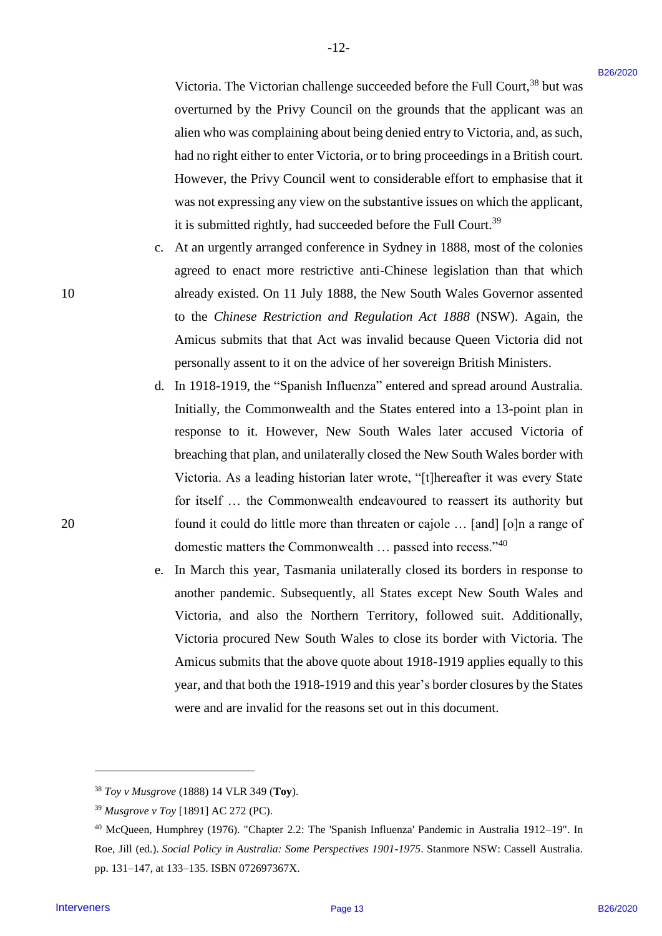Victoria. The Victorian challenge succeeded before the Full Court,<sup>38</sup> but was overturned by the Privy Council on the grounds that the applicant was an overturned by the Privy Council on the grounds that the applicant was an alien who was complaining about being denied entry to Victoria, and, as such, alien who was complaining about being denied entry to Victoria, and, as such, had no right either to enter Victoria, or to bring proceedings in a British court. had no right either to enter Victoria, or to bring proceedings in <sup>a</sup> British court. However, the Privy Council went to considerable effort to emphasise that it However, the Privy Council went to considerable effort to emphasise that it was not expressing any view on the substantive issues on which the applicant, was not expressing any view on the substantive issues on which the applicant, it is submitted rightly, had succeeded before the Full Court.<sup>39</sup>

 $-12-$ 

- c. At an urgently arranged conference in Sydney in 1888, most of the colonies At an urgently arranged conference in Sydney in 1888, most of the colonies agreed to enact more restrictive anti-Chinese legislation than that which agreed to enact more restrictive anti-Chinese legislation than that which 10 already existed. On 11 July 1888, the New South Wales Governor assented already existed. On 11 July 1888, the New South Wales Governor assented to the *Chinese Restriction and Regulation Act 1888* (NSW). Again, the to the Chinese Restriction and Regulation Act 1888 (NSW). Again, the Amicus submits that that Act was invalid because Queen Victoria did not Amicus submits that that Act was invalid because Queen Victoria did not personally assent to it on the advice of her sovereign British Ministers. personally assent to it on the advice of her sovereign British Ministers.
- d. In 1918-1919, the "Spanish Influenza" entered and spread around Australia. In 1918-1919, the "Spanish Influenza" entered and spread around Australia. Initially, the Commonwealth and the States entered into a 13-point plan in Initially, the Commonwealth and the States entered into <sup>a</sup> 13-point plan in response to it. However, New South Wales later accused Victoria of response to it. However, New South Wales later accused Victoria of breaching that plan, and unilaterally closed the New South Wales border with breaching that plan, and unilaterally closed the New South Wales border with Victoria. As a leading historian later wrote, "[t]hereafter it was every State Victoria. As <sup>a</sup> leading historian later wrote, "[t]hereafter it was every State for itself … the Commonwealth endeavoured to reassert its authority but for itself ... the Commonwealth endeavoured to reassert its authority but 20 found it could do little more than threaten or cajole … [and] [o]n a range of found it could do little more than threaten or cajole ... [and] [o]n <sup>a</sup> range of domestic matters the Commonwealth ... passed into recess."<sup>40</sup> Interveners B26/2020 B26/2020 Page 13
	- e. In March this year, Tasmania unilaterally closed its borders in response to In March this year, Tasmania unilaterally closed its borders in response to another pandemic. Subsequently, all States except New South Wales and another pandemic. Subsequently, all States except New South Wales and Victoria, and also the Northern Territory, followed suit. Additionally, Victoria, and also the Northern Territory, followed suit. Additionally, Victoria procured New South Wales to close its border with Victoria. The Victoria procured New South Wales to close its border with Victoria. The Amicus submits that the above quote about 1918-1919 applies equally to this Amicus submits that the above quote about 1918-1919 applies equally to this year, and that both the 1918-1919 and this year's border closures by the States were and are invalid for the reasons set out in this document. were and are invalid for the reasons set out in this document.

<u>.</u>

10

<sup>38</sup> *Toy v Musgrove* (1888) 14 VLR 349 (**Toy**). 38Toy v Musgrove(1888) 14 VLR 349 (Toy).

<sup>39</sup> *Musgrove v Toy* [1891] AC 272 (PC). 39Musgrove v Toy [1891] AC 272 (PC).

<sup>&</sup>lt;sup>40</sup> McQueen, Humphrey (1976). "Chapter 2.2: The 'Spanish Influenza' Pandemic in Australia 1912–19". In Roe, Jill (ed.). *Social Policy in Australia: Some Perspectives 1901-1975*. Stanmore NSW: Cassell Australia. Roe, Jill (ed.). Social Policy in Australia: Some Perspectives 1901-1975. Stanmore NSW: Cassell Australia. pp. 131–147, at 133–135. ISBN 072697367X. pp. 131-147, at 133-135. ISBN 072697367X.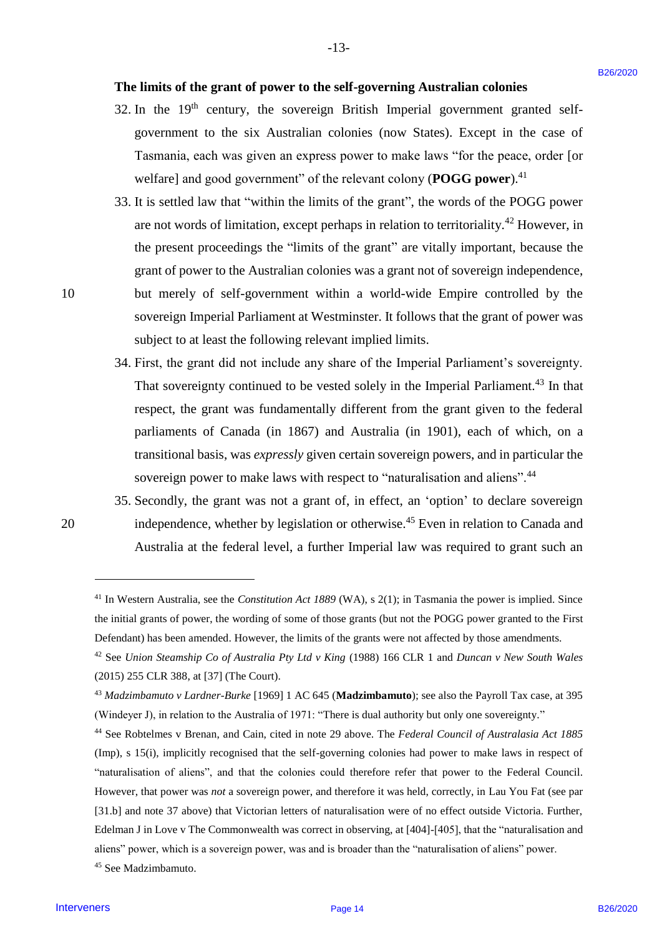## **The limits of the grant of power to the self-governing Australian colonies** The limits of the grant of power to the self-governing Australian colonies

-13- -13-

- 32. In the  $19<sup>th</sup>$  century, the sovereign British Imperial government granted selfgovernment to the six Australian colonies (now States). Except in the case of government to the six Australian colonies (now States). Except in the case of Tasmania, each was given an express power to make laws "for the peace, order [or Tasmania, each was given an express power to make laws "for the peace, order [or welfare] and good government" of the relevant colony (POGG power).<sup>41</sup>
- 33. It is settled law that "within the limits of the grant", the words of the POGG power 33. It is settled law that "within the limits of the grant", the words of the POGG power are not words of limitation, except perhaps in relation to territoriality.<sup>42</sup> However, in the present proceedings the "limits of the grant" are vitally important, because the the present proceedings the "limits of the grant" are vitally important, because the grant of power to the Australian colonies was a grant not of sovereign independence, grant of power to the Australian colonies was <sup>a</sup> grant not of sovereign independence, 10 but merely of self-government within a world-wide Empire controlled by the sovereign Imperial Parliament at Westminster. It follows that the grant of power was sovereign Imperial Parliament at Westminster. It follows that the grant of power was subject to at least the following relevant implied limits. The limits of the grant of power to the self-governing Australian colonies<br>
2.5. In the 19<sup>0</sup> century, the sovereign Birtish in hyristic inspective and grantent systems<br>
government to the six Australian colonies (now Stat
	- 34. First, the grant did not include any share of the Imperial Parliament's sovereignty. 34. First, the grant did not include any share of the Imperial Parliament's sovereignty. That sovereignty continued to be vested solely in the Imperial Parliament.<sup>43</sup> In that respect, the grant was fundamentally different from the grant given to the federal parliaments of Canada (in 1867) and Australia (in 1901), each of which, on a parliaments of Canada (in 1867) and Australia (in 1901), each of which, on a transitional basis, was *expressly* given certain sovereign powers, and in particular the transitional basis, was expressly given certain sovereign powers, and in particular the sovereign power to make laws with respect to "naturalisation and aliens".<sup>44</sup>
- 35. Secondly, the grant was not a grant of, in effect, an 'option' to declare sovereign 35. Secondly, the grant was not <sup>a</sup> grant of, in effect, an 'option' to declare sovereign 20 independence, whether by legislation or otherwise.<sup>45</sup> Even in relation to Canada and Australia at the federal level, a further Imperial law was required to grant such an Australia at the federal level, <sup>a</sup> further Imperial law was required to grant such an

<sup>&</sup>lt;sup>41</sup> In Western Australia, see the *Constitution Act 1889* (WA), s 2(1); in Tasmania the power is implied. Since the initial grants of power, the wording of some of those grants (but not the POGG power granted to the First Defendant) has been amended. However, the limits of the grants were not affected by those amendments. Defendant) has been amended. However, the limits of the grants were not affected by those amendments.

<sup>&</sup>lt;sup>42</sup> See *Union Steamship Co of Australia Pty Ltd v King* (1988) 166 CLR 1 and *Duncan v New South Wales* (2015) 255 CLR 388, at [37] (The Court). (2015) 255 CLR 388, at [37] (The Court).

<sup>&</sup>lt;sup>43</sup> Madzimbamuto v Lardner-Burke [1969] 1 AC 645 (Madzimbamuto); see also the Payroll Tax case, at 395 (Windeyer J), in relation to the Australia of 1971: "There is dual authority but only one sovereignty." (Windeyer J), in relation to the Australia of 1971: "There is dual authority but only one sovereignty."

<sup>&</sup>lt;sup>44</sup> See Robtelmes v Brenan, and Cain, cited in note 29 above. The *Federal Council of Australasia Act 1885* (Imp), s 15(i), implicitly recognised that the self-governing colonies had power to make laws in respect of (Imp), s 15(i), implicitly recognised that the self-governing colonies had power to make laws in respect of "naturalisation of aliens", and that the colonies could therefore refer that power to the Federal Council. "naturalisation of aliens", and that the colonies could therefore refer that power to the Federal Council. However, that power was *not* a sovereign power, and therefore it was held, correctly, in Lau You Fat (see par However, that power was not a sovereign power, and therefore it was held, correctly, in Lau You Fat (see par [31.b] and note 37 above) that Victorian letters of naturalisation were of no effect outside Victoria. Further, [31.b] and note 37 above) that Victorian letters of naturalisation were of no effect outside Victoria. Further, Edelman J in Love v The Commonwealth was correct in observing, at [404]-[405], that the "naturalisation and Edelman <sup>J</sup> in Love v The Commonwealth was correct in observing, at [404]-[405], that the "naturalisation and aliens" power, which is a sovereign power, was and is broader than the "naturalisation of aliens" power. aliens" power, which is <sup>a</sup> sovereign power, was and is broader than the "naturalisation ofaliens" power.

<sup>45</sup> See Madzimbamuto. <sup>45</sup> See Madzimbamuto.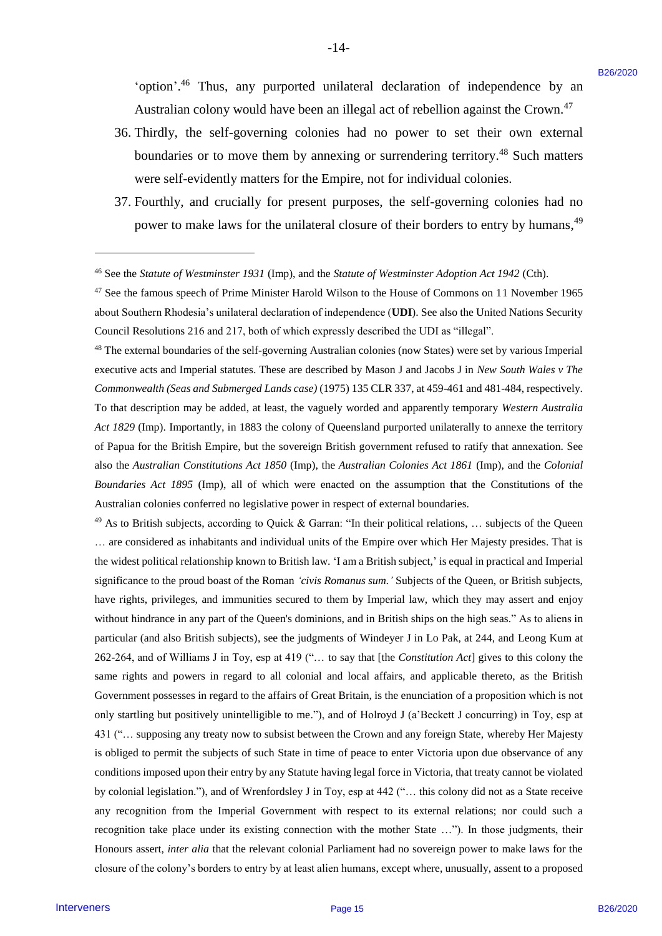'option'.<sup>46</sup> Thus, any purported unilateral declaration of independence by an Australian colony would have been an illegal act of rebellion against the Crown.<sup>47</sup>

-14- -14-

- 36. Thirdly, the self-governing colonies had no power to set their own external 36. Thirdly, the self-governing colonies had no power to set their own external boundaries or to move them by annexing or surrendering territory.<sup>48</sup> Such matters were self-evidently matters for the Empire, not for individual colonies. were self-evidently matters for the Empire, not for individual colonies.
- 37. Fourthly, and crucially for present purposes, the self-governing colonies had no 37. Fourthly, and crucially for present purposes, the self-governing colonies had no power to make laws for the unilateral closure of their borders to entry by humans,<sup>49</sup>

<sup>47</sup> See the famous speech of Prime Minister Harold Wilson to the House of Commons on 11 November 1965 about Southern Rhodesia's unilateral declaration of independence (UDI). See also the United Nations Security Council Resolutions 216 and 217, both of which expressly described the UDI as "illegal". Council Resolutions 216 and 217, both of which expressly described the UDI as "illegal".

<sup>48</sup> The external boundaries of the self-governing Australian colonies (now States) were set by various Imperial <sup>48</sup> The external boundaries of the self-governing Australian colonies (now States) were set by various Imperial executive acts and Imperial statutes. These are described by Mason J and Jacobs J in *New South Wales v The*  executive acts and Imperial statutes. These are described by Mason <sup>J</sup> and Jacobs <sup>J</sup> in New South Wales v The *Commonwealth (Seas and Submerged Lands case)* (1975) 135 CLR 337, at 459-461 and 481-484, respectively. Commonwealth (Seas and Submerged Lands case) (1975) 135 CLR 337, at 459-461 and 481-484, respectively. To that description may be added, at least, the vaguely worded and apparently temporary *Western Australia*  To that description may be added, at least, the vaguely worded and apparently temporary Western Australia Act 1829 (Imp). Importantly, in 1883 the colony of Queensland purported unilaterally to annexe the territory of Papua for the British Empire, but the sovereign British government refused to ratify that annexation. See also the Australian Constitutions Act 1850 (Imp), the Australian Colonies Act 1861 (Imp), and the Colonial *Boundaries Act 1895* (Imp), all of which were enacted on the assumption that the Constitutions of the Boundaries Act 1895 (Imp), all of which were enacted on the assumption that the Constitutions of the Australian colonies conferred no legislative power in respect of external boundaries. Australian colonies conferred no legislative power in respect of external boundaries.

<sup>49</sup> As to British subjects, according to Quick & Garran: "In their political relations, ... subjects of the Queen ... are considered as inhabitants and individual units of the Empire over which Her Majesty presides. That is the widest political relationship known to British law. 'I am a British subject,' is equal in practical and Imperial significance to the proud boast of the Roman 'civis Romanus sum.' Subjects of the Queen, or British subjects, have rights, privileges, and immunities secured to them by Imperial law, which they may assert and enjoy have rights, privileges, and immunities secured to them by Imperial law, which they may assert and enjoy without hindrance in any part of the Queen's dominions, and in British ships on the high seas." As to aliens in without hindrance in any part of the Queen's dominions, and in British ships on the high seas." As to aliens in particular (and also British subjects), see the judgments of Windeyer J in Lo Pak, at 244, and Leong Kum at particular (and also British subjects), see the judgments of Windeyer <sup>J</sup> in Lo Pak, at 244, and Leong Kum at 262-264, and of Williams J in Toy, esp at 419 ("... to say that [the Constitution Act] gives to this colony the same rights and powers in regard to all colonial and local affairs, and applicable thereto, as the British Government possesses in regard to the affairs of Great Britain, is the enunciation of a proposition which is not only startling but positively unintelligible to me."), and of Holroyd J (a'Beckett J concurring) in Toy, esp at 431 ("… supposing any treaty now to subsist between the Crown and any foreign State, whereby Her Majesty 431 ("... supposing any treaty now to subsist between the Crown and any foreign State, whereby Her Majesty is obliged to permit the subjects of such State in time of peace to enter Victoria upon due observance of any is obliged to permit the subjects of such State in time of peace to enter Victoria upon due observance of any conditions imposed upon their entry by any Statute having legal force in Victoria, that treaty cannot be violated by colonial legislation."), and of Wrenfordsley J in Toy, esp at 442 ("... this colony did not as a State receive any recognition from the Imperial Government with respect to its external relations; nor could such a any recognition from the Imperial Government with respect to its external relations; nor could such a recognition take place under its existing connection with the mother State ..."). In those judgments, their Honours assert, inter alia that the relevant colonial Parliament had no sovereign power to make laws for the closure of the colony's borders to entry by at least alien humans, except where, unusually, assent to a proposed <sup>1</sup> option.<sup>24</sup> Thus, any purposed unliateral declaration of independence by an Assistance of the system and the lead of electrons.<sup>22</sup> So Thieldy, the still-generating colonics had no cherent angies the Corons.<sup>22</sup> So T

-

<sup>&</sup>lt;sup>46</sup> See the *Statute of Westminster 1931* (Imp), and the *Statute of Westminster Adoption Act 1942* (Cth).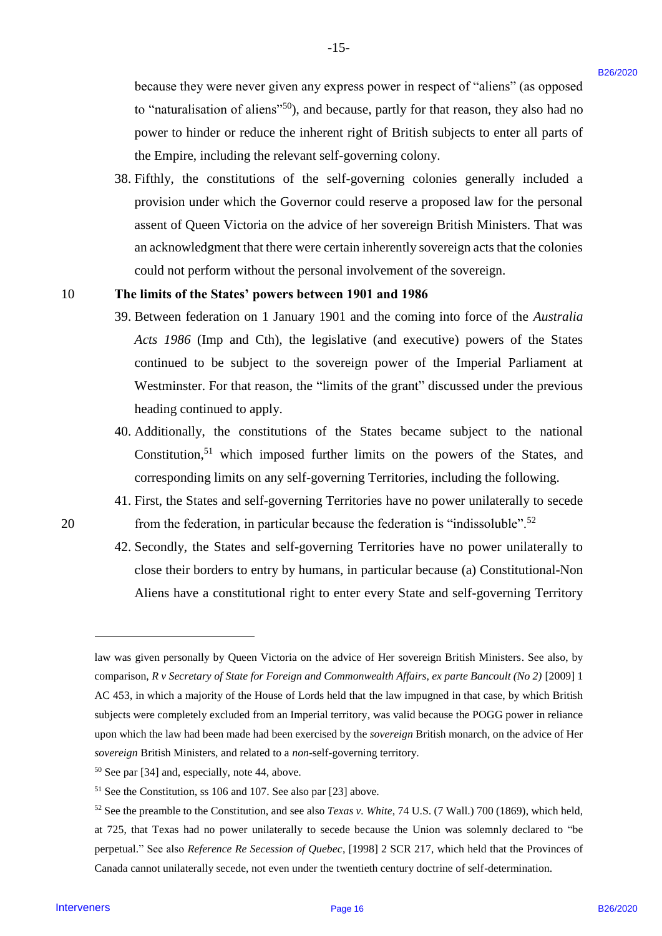because they were never given any express power in respect of "aliens" (as opposed because they were never given any express power in respect of "aliens" (as opposed to "naturalisation of aliens"<sup>50</sup>), and because, partly for that reason, they also had no power to hinder or reduce the inherent right of British subjects to enter all parts of power to hinder or reduce the inherent right of British subjects to enter all parts of the Empire, including the relevant self-governing colony. the Empire, including the relevant self-governing colony.

-15- -15-

38. Fifthly, the constitutions of the self-governing colonies generally included a 38. Fifthly, the constitutions of the self-governing colonies generally included <sup>a</sup> provision under which the Governor could reserve a proposed law for the personal provision under which the Governor could reserve <sup>a</sup> proposed law for the personal assent of Queen Victoria on the advice of her sovereign British Ministers. That was assent of Queen Victoria on the advice of her sovereign British Ministers. That was an acknowledgment that there were certain inherently sovereign acts that the colonies an acknowledgment that there were certain inherently sovereign acts that the colonies could not perform without the personal involvement of the sovereign. could not perform without the personal involvement of the sovereign.

#### 10 **The limits of the States' powers between 1901 and 1986** <sup>10</sup> The limits of the States' powers between 1901 and 1986

- 39. Between federation on 1 January 1901 and the coming into force of the *Australia* Acts 1986 (Imp and Cth), the legislative (and executive) powers of the States continued to be subject to the sovereign power of the Imperial Parliament at Westminster. For that reason, the "limits of the grant" discussed under the previous Westminster. For that reason, the "limits of the grant" discussed under the previous heading continued to apply. heading continued to apply.
- 40. Additionally, the constitutions of the States became subject to the national 40. Additionally, the constitutions of the States became subject to the national Constitution,<sup>51</sup> which imposed further limits on the powers of the States, and corresponding limits on any self-governing Territories, including the following. corresponding limits on any self-governing Territories, including the following.
- 41. First, the States and self-governing Territories have no power unilaterally to secede 41. First, the States and self-governing Territories have no power unilaterally to secede 20 from the federation, in particular because the federation is "indissoluble".<sup>52</sup>
	- 42. Secondly, the States and self-governing Territories have no power unilaterally to 42. Secondly, the States and self-governing Territories have no power unilaterally to close their borders to entry by humans, in particular because (a) Constitutional-Non close their borders to entry by humans, in particular because (a) Constitutional-Non Aliens have a constitutional right to enter every State and self-governing Territory Aliens have <sup>a</sup> constitutional right to enter every State and self-governing Territory

law was given personally by Queen Victoria on the advice of Her sovereign British Ministers. See also, by law was given personally by Queen Victoria on the advice of Her sovereign British Ministers. See also, by comparison, *R v Secretary of State for Foreign and Commonwealth Affairs, ex parte Bancoult (No 2)* [2009] 1 comparison, <sup>R</sup> v Secretary of State for Foreign and Commonwealth Affairs, ex parte Bancoult (No 2) [2009] 1 AC 453, in which a majority of the House of Lords held that the law impugned in that case, by which British AC 453, in which a majority of the House of Lords held that the law impugned in that case, by which British subjects were completely excluded from an Imperial territory, was valid because the POGG power in reliance subjects were completely excluded from an Imperial territory, was valid because the POGG power in reliance upon which the law had been made had been exercised by the *sovereign* British monarch, on the advice of Her upon which the law had been made had been exercised by the sovereign British monarch, on the advice of Her *sovereign* British Ministers, and related to a *non*-self-governing territory. sovereign British Ministers, and related to a non-self-governing territory. because they were never given may express power in respect of "alleary", its opposed<br>
to "neutral listing of allears"<sup>4</sup>", and because, parts for this resource, they alle because the since the place of the since the prese

<sup>50</sup> See par [34] and, especially, note 44, above. See par [34] and, especially, note 44,above.

 $51$  See the Constitution, ss 106 and 107. See also par [23] above.

<sup>&</sup>lt;sup>52</sup> See the preamble to the Constitution, and see also *Texas v. White*, 74 U.S. (7 Wall.) 700 (1869), which held, at 725, that Texas had no power unilaterally to secede because the Union was solemnly declared to "be at 725, that Texas had no power unilaterally to secede because the Union was solemnly declared to "be perpetual." See also *Reference Re Secession of Quebec*, [1998] 2 SCR 217, which held that the Provinces of Canada cannot unilaterally secede, not even under the twentieth century doctrine of self-determination. Canada cannot unilaterally secede, not even under the twentieth century doctrine of self-determination.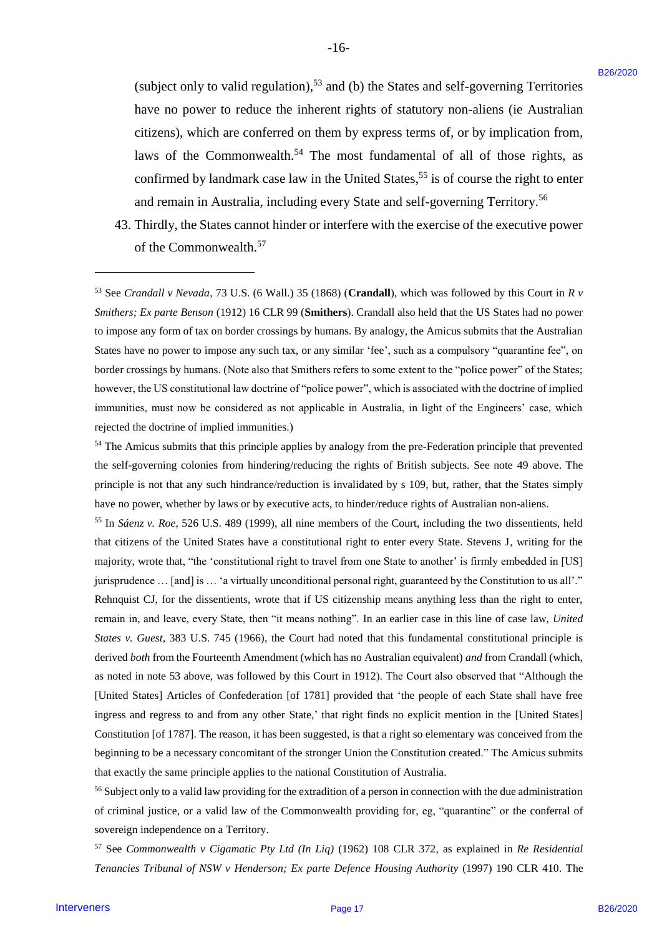(subject only to valid regulation),<sup>53</sup> and (b) the States and self-governing Territories have no power to reduce the inherent rights of statutory non-aliens (ie Australian have no power to reduce the inherent rights of statutory non-aliens (ie Australian citizens), which are conferred on them by express terms of, or by implication from, citizens), which are conferred on them by express terms of, or by implication from, laws of the Commonwealth.<sup>54</sup> The most fundamental of all of those rights, as confirmed by landmark case law in the United States,<sup>55</sup> is of course the right to enter and remain in Australia, including every State and self-governing Territory.<sup>56</sup>

-16- -16-

43. Thirdly, the States cannot hinder or interfere with the exercise of the executive power 43. Thirdly, the States cannot hinder or interfere with the exercise of the executive power of the Commonwealth.<sup>57</sup>

<sup>53</sup> See Crandall v Nevada, 73 U.S. (6 Wall.) 35 (1868) (Crandall), which was followed by this Court in R v Smithers; Ex parte Benson (1912) 16 CLR 99 (Smithers). Crandall also held that the US States had no power to impose any form of tax on border crossings by humans. By analogy, the Amicus submits that the Australian to impose any form oftax on border crossings by humans. By analogy, the Amicus submits that the Australian States have no power to impose any such tax, or any similar 'fee', such as a compulsory "quarantine fee", on States have no power to impose any such tax, or any similar 'fee', such as <sup>a</sup> compulsory "quarantine fee', on border crossings by humans. (Note also that Smithers refers to some extent to the "police power" of the States; border crossings by humans. (Note also that Smithers refers to some extent to the "police power" of the States; however, the US constitutional law doctrine of "police power", which is associated with the doctrine of implied however, the US constitutional law doctrine of"police power", which is associated with the doctrine of implied immunities, must now be considered as not applicable in Australia, in light of the Engineers' case, which immunities, must now be considered as not applicable in Australia, in light of the Engineers' case, which rejected the doctrine of implied immunities.) rejected the doctrine of implied immunities.)

<sup>54</sup> The Amicus submits that this principle applies by analogy from the pre-Federation principle that prevented the self-governing colonies from hindering/reducing the rights of British subjects. See note 49 above. The the self-governing colonies from hindering/reducing the rights of British subjects. See note 49 above. The principle is not that any such hindrance/reduction is invalidated by s 109, but, rather, that the States simply principle is not that any such hindrance/reduction is invalidated by s 109, but, rather, that the States simply have no power, whether by laws or by executive acts, to hinder/reduce rights of Australian non-aliens.

<sup>55</sup> In *Sáenz v. Roe*, 526 U.S. 489 (1999), all nine members of the Court, including the two dissentients, held that citizens of the United States have a constitutional right to enter every State. Stevens J, writing for the that citizens of the United States have a constitutional right to enter every State. Stevens J, writing for the majority, wrote that, "the 'constitutional right to travel from one State to another' is firmly embedded in [US] jurisprudence ... [and] is ... 'a virtually unconditional personal right, guaranteed by the Constitution to us all'." Rehnquist CJ, for the dissentients, wrote that if US citizenship means anything less than the right to enter, Rehnquist CJ, for the dissentients, wrote that if US citizenship means anything less than the right to enter, remain in, and leave, every State, then "it means nothing". In an earlier case in this line of case law, United *States v. Guest*, 383 U.S. 745 (1966), the Court had noted that this fundamental constitutional principle is States v. Guest, 383 U.S. 745 (1966), the Court had noted that this fundamental constitutional principle is derived both from the Fourteenth Amendment (which has no Australian equivalent) and from Crandall (which, as noted in note 53 above, was followed by this Court in 1912). The Court also observed that "Although the as noted in note 53 above, was followed by this Court in 1912). The Court also observed that "Although the [United States] Articles of Confederation [of 1781] provided that 'the people of each State shall have free [United States] Articles of Confederation [of 1781] provided that 'the people of each State shall have free ingress and regress to and from any other State,' that right finds no explicit mention in the [United States] Constitution [of 1787]. The reason, it has been suggested, is that a right so elementary was conceived from the Constitution [of 1787]. The reason, it has been suggested, is that a right so elementary was conceived from the beginning to be a necessary concomitant of the stronger Union the Constitution created." The Amicus submits beginning to be a necessary concomitant of the stronger Union the Constitution created." The Amicus submits that exactly the same principle applies to the national Constitution of Australia. that exactly the same principle applies to the national Constitution of Australia. (sobject only to valid regulation),<sup>64</sup> and (b) the States and sci<sup>2</sup>-governing Territorics<br>have to power to usince the interest in this origin of Mathematic (in Anti-governing Territorics (in Anti-governing the state in

<sup>56</sup> Subject only to a valid law providing for the extradition of a person in connection with the due administration of criminal justice, or a valid law of the Commonwealth providing for, eg, "quarantine" or the conferral of sovereign independence on a Territory. sovereign independence on a Territory.

<sup>57</sup> See *Commonwealth v Cigamatic Pty Ltd (In Liq)* (1962) 108 CLR 372, as explained in *Re Residential*  57See Commonwealth v Cigamatic Pty Ltd (In Lig) (1962) 108 CLR 372, as explained in Re Residential Tenancies Tribunal of NSW v Henderson; Ex parte Defence Housing Authority (1997) 190 CLR 410. The

-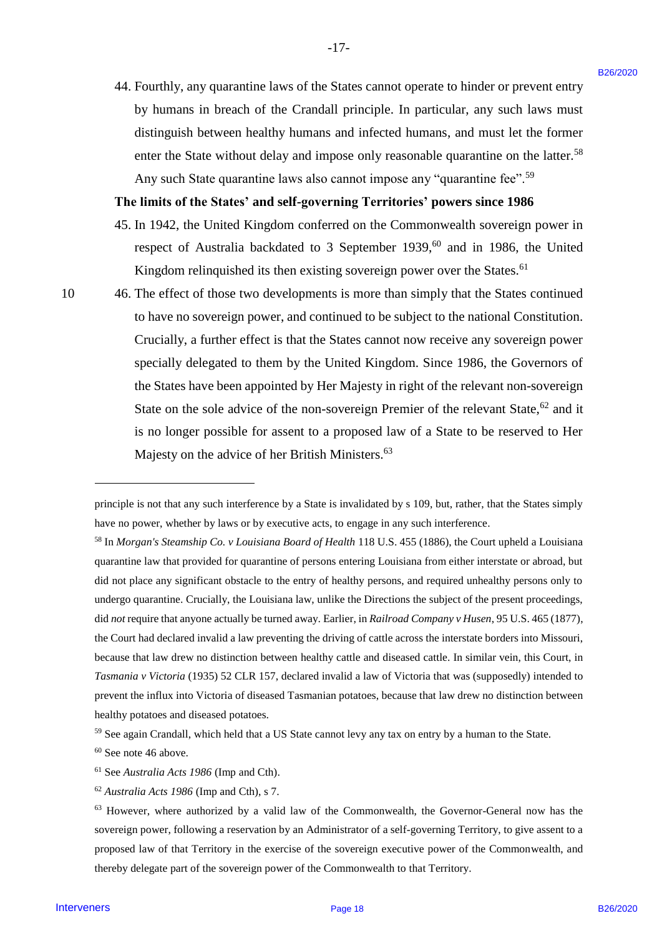44. Fourthly, any quarantine laws of the States cannot operate to hinder or prevent entry 44. Fourthly, any quarantine laws of the States cannot operate to hinder or prevent entry by humans in breach of the Crandall principle. In particular, any such laws must by humans in breach of the Crandall principle. In particular, any such laws must distinguish between healthy humans and infected humans, and must let the former distinguish between healthy humans and infected humans, and must let the former enter the State without delay and impose only reasonable quarantine on the latter.<sup>58</sup> Any such State quarantine laws also cannot impose any "quarantine fee".<sup>59</sup>

 $-17-$ 

#### **The limits of the States' and self-governing Territories' powers since 1986** The limits of the States' and self-governing Territories' powers since 1986

- 45. In 1942, the United Kingdom conferred on the Commonwealth sovereign power in 45. In 1942, the United Kingdom conferred on the Commonwealth sovereign power in respect of Australia backdated to 3 September 1939,<sup>60</sup> and in 1986, the United Kingdom relinquished its then existing sovereign power over the States.<sup>61</sup>
- 

-

10 46. The effect of those two developments is more than simply that the States continued 1046. The effect of those two developments is more than simply that the States continued to have no sovereign power, and continued to be subject to the national Constitution. to have no sovereign power, and continued to be subject to the national Constitution. Crucially, a further effect is that the States cannot now receive any sovereign power Crucially, <sup>a</sup> further effect is that the States cannot now receive any sovereign power specially delegated to them by the United Kingdom. Since 1986, the Governors of specially delegated to them by the United Kingdom. Since 1986, the Governors of the States have been appointed by Her Majesty in right of the relevant non-sovereign the States have been appointed by Her Majesty in right of the relevant non-sovereign State on the sole advice of the non-sovereign Premier of the relevant State,<sup>62</sup> and it is no longer possible for assent to a proposed law of a State to be reserved to Her is no longer possible for assent to <sup>a</sup> proposed law of <sup>a</sup> State to be reserved to Her Majesty on the advice of her British Ministers.<sup>63</sup>

principle is not that any such interference by a State is invalidated by s 109, but, rather, that the States simply have no power, whether by laws or by executive acts, to engage in any such interference. have no power, whether by laws or by executive acts, to engage in any such interference.

<sup>&</sup>lt;sup>58</sup> In *Morgan's Steamship Co. v Louisiana Board of Health* 118 U.S. 455 (1886), the Court upheld a Louisiana quarantine law that provided for quarantine of persons entering Louisiana from either interstate or abroad, but quarantine lawthat provided for quarantine of persons entering Louisiana from either interstate or abroad, but did not place any significant obstacle to the entry of healthy persons, and required unhealthy persons only to did not place any significant obstacle to the entry of healthy persons, and required unhealthy persons only to undergo quarantine. Crucially, the Louisiana law, unlike the Directions the subject of the present proceedings, undergo quarantine. Crucially, the Louisiana law, unlike the Directions the subject of the present proceedings, did not require that anyone actually be turned away. Earlier, in Railroad Company v Husen, 95 U.S. 465 (1877), the Court had declared invalid a law preventing the driving of cattle across the interstate borders into Missouri, because that law drew no distinction between healthy cattle and diseased cattle. In similar vein, this Court, in *Tasmania v Victoria* (1935) 52 CLR 157, declared invalid a law of Victoria that was (supposedly) intended to Tasmania v Victoria (1935) 52 CLR 157, declared invalid alaw of Victoria that was (supposedly) intended to prevent the influx into Victoria of diseased Tasmanian potatoes, because that law drew no distinction between prevent the influx into Victoria of diseased Tasmanian potatoes, because that law drew no distinction between healthy potatoes and diseased potatoes. healthy potatoes and diseased potatoes. 44. Fourthly, any quarantine laws of the Stures cannot openie to binder or prevent entry<br>by humans in beams the case of the Stures in the C in ancientary and the set of the Stures and the sture in the sture of the sture a

<sup>&</sup>lt;sup>59</sup> See again Crandall, which held that a US State cannot levy any tax on entry by a human to the State.

 $60$  See note 46 above.

<sup>61</sup> See *Australia Acts 1986* (Imp and Cth).

<sup>&</sup>lt;sup>61</sup> See *Australia Acts 1986* (Imp and Cth).<br><sup>62</sup> A*ustralia Acts 1986* (Imp and Cth), s 7.

<sup>63</sup> However, where authorized by a valid law of the Commonwealth, the Governor-General now has the <sup>63</sup> However, where authorized by a valid law of the Commonwealth, the Governor-General now has the sovereign power, following a reservation by an Administrator of a self-governing Territory, to give assent to a sovereign power, following a reservation by an Administrator of a self-governing Territory, to give assent to a proposed law of that Territory in the exercise of the sovereign executive power of the Commonwealth, and proposed law of that Territory in the exercise of the sovereign executive power of the Commonwealth, and thereby delegate part of the sovereign power of the Commonwealth to that Territory. thereby delegate part of the sovereign power of the Commonwealth to that Territory.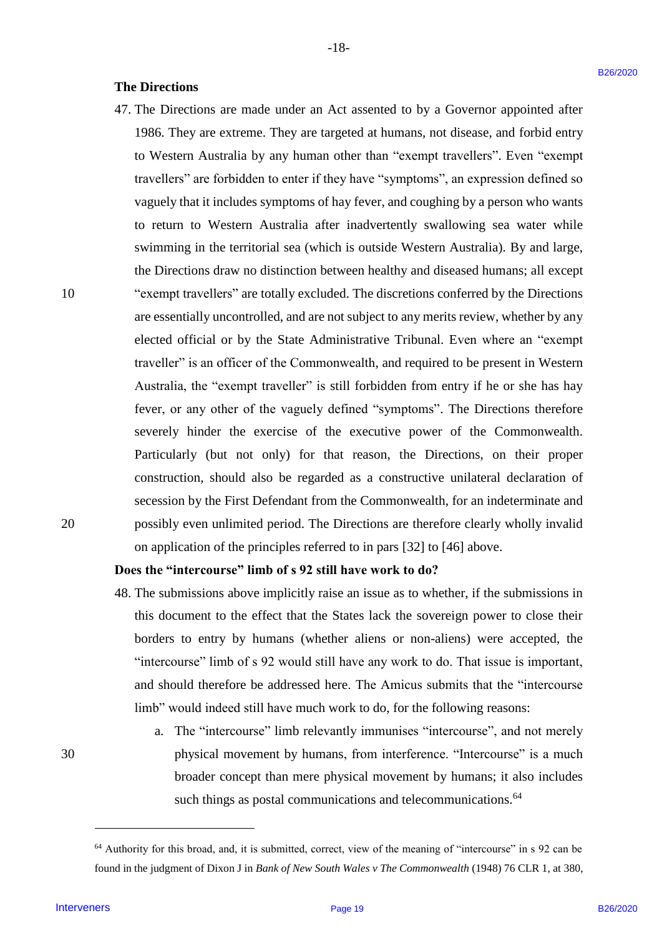#### **The Directions** The Directions

47. The Directions are made under an Act assented to by a Governor appointed after 47. The Directions are made under an Act assented to by <sup>a</sup> Governor appointed after 1986. They are extreme. They are targeted at humans, not disease, and forbid entry 1986. They are extreme. They are targeted at humans, not disease, and forbid entry to Western Australia by any human other than "exempt travellers". Even "exempt to Western Australia by any human other than "exempt travellers". Even "exempt travellers" are forbidden to enter if they have "symptoms", an expression defined so travellers" are forbidden to enter ifthey have "symptoms", an expression defined so vaguely that it includes symptoms of hay fever, and coughing by a person who wants vaguely that it includes symptoms of hay fever, and coughing by aperson who wants to return to Western Australia after inadvertently swallowing sea water while to return to Western Australia after inadvertently swallowing sea water while swimming in the territorial sea (which is outside Western Australia). By and large, swimming in the territorial sea (which is outside Western Australia). By and large, the Directions draw no distinction between healthy and diseased humans; all except the Directions draw no distinction between healthy and diseased humans; all except 10 "exempt travellers" are totally excluded. The discretions conferred by the Directions 10"exempt travellers" are totally excluded. The discretions conferred by the Directions are essentially uncontrolled, and are not subject to any merits review, whether by any are essentially uncontrolled, and are not subject to any merits review, whether by any elected official or by the State Administrative Tribunal. Even where an "exempt elected official or by the State Administrative Tribunal. Even where an "exempt traveller" is an officer of the Commonwealth, and required to be present in Western Australia, the "exempt traveller" is still forbidden from entry if he or she has hay Australia, the "exempt traveller" is still forbidden from entry if he or she has hay fever, or any other of the vaguely defined "symptoms". The Directions therefore fever, or any other of the vaguely defined "symptoms". The Directions therefore severely hinder the exercise of the executive power of the Commonwealth. severely hinder the exercise of the executive power of the Commonwealth. Particularly (but not only) for that reason, the Directions, on their proper Particularly (but not only) for that reason, the Directions, on their proper construction, should also be regarded as a constructive unilateral declaration of construction, should also be regarded as <sup>a</sup> constructive unilateral declaration of secession by the First Defendant from the Commonwealth, for an indeterminate and secession by the First Defendant from the Commonwealth, for an indeterminate and 20 possibly even unlimited period. The Directions are therefore clearly wholly invalid 20 possibly even unlimited period. The Directions are therefore clearly wholly invalid on application of the principles referred to in pars [32] to [46] above. on application of the principles referred to in pars [32] to [46] above. **The Directions** are made under an Act assessed to by a Governor appointed after the Directions are made under a metallic properties and forbid emry in Worden TDS6. They are carrent in the line in the line interveners int

### **Does the "intercourse" limb of s 92 still have work to do?** Does the "intercourse" limb of <sup>s</sup> 92 still have work to do?

- 48. The submissions above implicitly raise an issue as to whether, if the submissions in 48. The submissions above implicitly raise an issue as to whether, ifthe submissions in this document to the effect that the States lack the sovereign power to close their this document to the effect that the States lack the sovereign power to close their borders to entry by humans (whether aliens or non-aliens) were accepted, the borders to entry by humans (whether aliens or non-aliens) were accepted, the "intercourse" limb of s 92 would still have any work to do. That issue is important, "intercourse" limb of <sup>s</sup> 92 would still have any work to do. That issue is important, and should therefore be addressed here. The Amicus submits that the "intercourse and should therefore be addressed here. The Amicus submits that the "intercourse limb" would indeed still have much work to do, for the following reasons: limb" would indeed still have much work to do, for the following reasons:
- a. The "intercourse" limb relevantly immunises "intercourse", and not merely a. The "intercourse" limb relevantly immunises "intercourse", and not merely 30 physical movement by humans, from interference. "Intercourse" is a much 30 physical movement by humans, from interference. "Intercourse" is <sup>a</sup> much broader concept than mere physical movement by humans; it also includes broader concept than mere physical movement by humans; it also includes such things as postal communications and telecommunications.<sup>64</sup>

<sup>64</sup> Authority for this broad, and, it is submitted, correct, view of the meaning of "intercourse" in s 92 can be <sup>64</sup> Authority for this broad, and, it is submitted, correct, view of the meaning of "intercourse" in s 92 can be found in the judgment of Dixon J in *Bank of New South Wales v The Commonwealth* (1948) 76 CLR 1, at 380,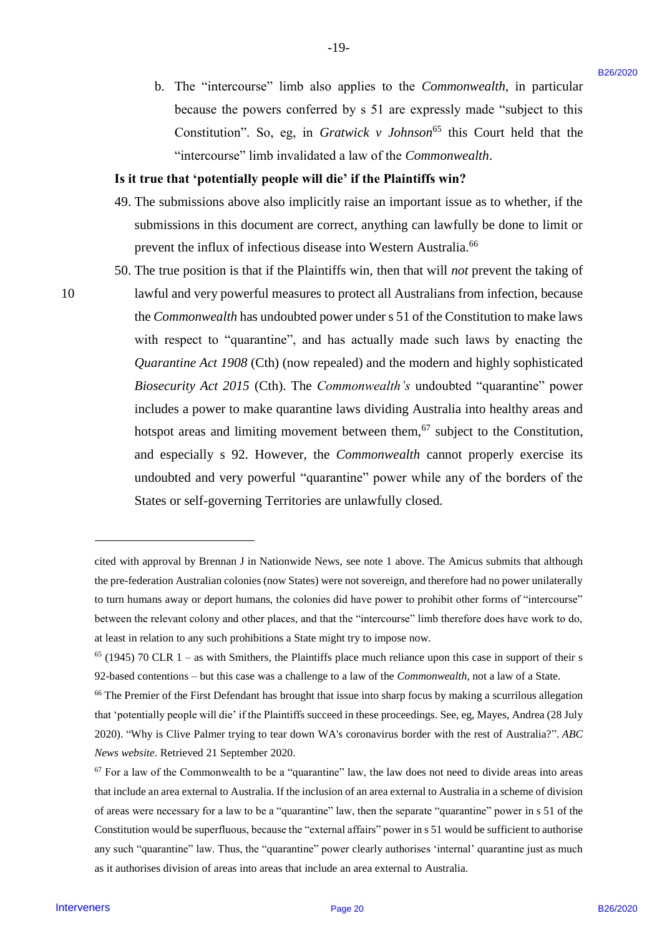b. The "intercourse" limb also applies to the *Commonwealth*, in particular b. The "intercourse" limb also applies to the Commonwealth, in particular because the powers conferred by s 51 are expressly made "subject to this because the powers conferred by <sup>s</sup> 51 are expressly made "subject to this Constitution". So, eg, in *Gratwick v Johnson*<sup>65</sup> this Court held that the "intercourse" limb invalidated a law of the *Commonwealth*. "intercourse" limb invalidated <sup>a</sup> law of the Commonwealth.

-19- -19-

## **Is it true that 'potentially people will die' if the Plaintiffs win?** Is it true that 'potentially people will die' if the Plaintiffs win?

- 49. The submissions above also implicitly raise an important issue as to whether, if the 49. The submissions above also implicitly raise an important issue as to whether, ifthe submissions in this document are correct, anything can lawfully be done to limit or submissions in this document are correct, anything can lawfully be done to limit or prevent the influx of infectious disease into Western Australia. 66 prevent the influx of infectious disease into Western Australia.
- 50. The true position is that if the Plaintiffs win, then that will *not* prevent the taking of 50. The true position is that if the Plaintiffs win, then that will notprevent the taking of 10 lawful and very powerful measures to protect all Australians from infection, because the *Commonwealth* has undoubted power under s 51 of the Constitution to make laws the Commonwealth has undoubted power under <sup>s</sup> 51 of the Constitution to make laws with respect to "quarantine", and has actually made such laws by enacting the with respect to "quarantine", and has actually made such laws by enacting the *Quarantine Act 1908* (Cth) (now repealed) and the modern and highly sophisticated Quarantine Act 1908 (Cth) (now repealed) and the modern and highly sophisticated *Biosecurity Act 2015* (Cth). The *Commonwealth's* undoubted "quarantine" power Biosecurity Act 2015 (Cth). The Commonwealth's undoubted "quarantine" power includes a power to make quarantine laws dividing Australia into healthy areas and includes <sup>a</sup> power to make quarantine laws dividing Australia into healthy areas and hotspot areas and limiting movement between them, $67$  subject to the Constitution, and especially s 92. However, the *Commonwealth* cannot properly exercise its undoubted and very powerful "quarantine" power while any of the borders of the undoubted and very powerful "quarantine" power while any of the borders of the States or self-governing Territories are unlawfully closed. States or self-governing Territories are unlawfully closed. **15.** The "intercounse" limb also applies to the Conseron-calib, in particular<br>because the powers contributed by set to conserve the difference of the conservers B26/2020 B2 and the powers of the state of the conservers B

cited with approval by Brennan J in Nationwide News, see note 1 above. The Amicus submits that although the pre-federation Australian colonies (now States) were not sovereign, and therefore had no power unilaterally the pre-federation Australian colonies (now States) were not sovereign, and therefore had no power unilaterally to turn humans away or deport humans, the colonies did have power to prohibit other forms of "intercourse" to turn humans away or deport humans, the colonies did have power to prohibit other forms of "intercourse" between the relevant colony and other places, and that the "intercourse" limb therefore does have work to do, between the relevant colony and other places, and that the "intercourse" limb therefore does have work to do, at least in relation to any such prohibitions a State might try to impose now. at least in relation to any such prohibitions a State might try to impose now.

 $65$  (1945) 70 CLR 1 – as with Smithers, the Plaintiffs place much reliance upon this case in support of their s 92-based contentions – but this case was a challenge to a law of the *Commonwealth*, not a law of a State. 92-based contentions —but this case was a challenge to a law of the Commonwealth, not a law of a State.

<sup>&</sup>lt;sup>66</sup> The Premier of the First Defendant has brought that issue into sharp focus by making a scurrilous allegation that 'potentially people will die' if the Plaintiffs succeed in these proceedings. See, eg, Mayes, Andrea (28 July 2020). "Why is Clive Palmer trying to tear down WA's coronavirus border with the rest of Australia?". *ABC*  2020). "Why is Clive Palmer trying to tear down WA's coronavirus border with the rest of Australia?". ABC *News website*. Retrieved 21 September 2020. News website. Retrieved 21 September 2020.

 $67$  For a law of the Commonwealth to be a "quarantine" law, the law does not need to divide areas into areas that include an area external to Australia. If the inclusion of an area external to Australia in a scheme of division of areas were necessary for a law to be a "quarantine" law, then the separate "quarantine" power in s 51 of the of areas were necessary for a law to be a "quarantine" law, then the separate "quarantine" power in s <sup>51</sup> of the Constitution would be superfluous, because the "external affairs" power in s 51 would be sufficient to authorise any such "quarantine" law. Thus, the "quarantine" power clearly authorises 'internal' quarantine just as much any such "quarantine" law. Thus, the "quarantine" power clearly authorises 'internal' quarantine just as much as it authorises division of areas into areas that include an area external to Australia. as it authorises division of areas into areas that include an area external to Australia.